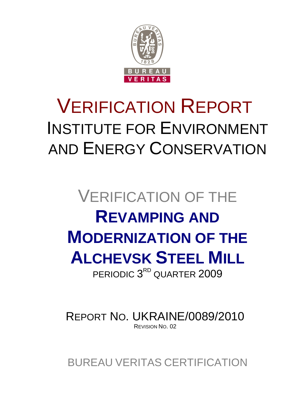

# VERIFICATION REPORT INSTITUTE FOR ENVIRONMENT AND ENERGY CONSERVATION

# VERIFICATION OF THE **REVAMPING AND MODERNIZATION OF THE ALCHEVSK STEEL MILL** PERIODIC 3<sup>RD</sup> QUARTER 2009

REPORT NO. UKRAINE/0089/2010 REVISION NO. 02

BUREAU VERITAS CERTIFICATION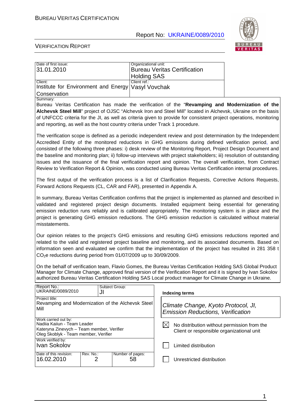

#### VERIFICATION REPORT

| Date of first issue:                                                                                     |                                                                                          | Organizational unit: |  |                                                                                                                      |  |
|----------------------------------------------------------------------------------------------------------|------------------------------------------------------------------------------------------|----------------------|--|----------------------------------------------------------------------------------------------------------------------|--|
| 31.01.2010                                                                                               |                                                                                          |                      |  | <b>Bureau Veritas Certification</b>                                                                                  |  |
|                                                                                                          |                                                                                          | <b>Holding SAS</b>   |  |                                                                                                                      |  |
| Client:                                                                                                  |                                                                                          | Client ref.:         |  |                                                                                                                      |  |
| Institute for Environment and Energy                                                                     |                                                                                          | Vasyl Vovchak        |  |                                                                                                                      |  |
| Conservation                                                                                             |                                                                                          |                      |  |                                                                                                                      |  |
| Summary:                                                                                                 |                                                                                          |                      |  |                                                                                                                      |  |
|                                                                                                          |                                                                                          |                      |  | Bureau Veritas Certification has made the verification of the "Revamping and Modernization of the                    |  |
|                                                                                                          |                                                                                          |                      |  | Alchevsk Steel Mill" project of OJSC "Alchevsk Iron and Steel Mill" located in Alchevsk, Ukraine on the basis        |  |
|                                                                                                          |                                                                                          |                      |  | of UNFCCC criteria for the JI, as well as criteria given to provide for consistent project operations, monitoring    |  |
| and reporting, as well as the host country criteria under Track 1 procedure.                             |                                                                                          |                      |  |                                                                                                                      |  |
|                                                                                                          |                                                                                          |                      |  |                                                                                                                      |  |
|                                                                                                          |                                                                                          |                      |  | The verification scope is defined as a periodic independent review and post determination by the Independent         |  |
|                                                                                                          |                                                                                          |                      |  | Accredited Entity of the monitored reductions in GHG emissions during defined verification period, and               |  |
|                                                                                                          |                                                                                          |                      |  | consisted of the following three phases: i) desk review of the Monitoring Report, Project Design Document and        |  |
|                                                                                                          |                                                                                          |                      |  | the baseline and monitoring plan; ii) follow-up interviews with project stakeholders; iii) resolution of outstanding |  |
|                                                                                                          |                                                                                          |                      |  | issues and the issuance of the final verification report and opinion. The overall verification, from Contract        |  |
|                                                                                                          |                                                                                          |                      |  | Review to Verification Report & Opinion, was conducted using Bureau Veritas Certification internal procedures.       |  |
|                                                                                                          |                                                                                          |                      |  |                                                                                                                      |  |
|                                                                                                          |                                                                                          |                      |  | The first output of the verification process is a list of Clarification Requests, Corrective Actions Requests,       |  |
| Forward Actions Requests (CL, CAR and FAR), presented in Appendix A.                                     |                                                                                          |                      |  |                                                                                                                      |  |
|                                                                                                          |                                                                                          |                      |  |                                                                                                                      |  |
|                                                                                                          |                                                                                          |                      |  | In summary, Bureau Veritas Certification confirms that the project is implemented as planned and described in        |  |
|                                                                                                          |                                                                                          |                      |  | validated and registered project design documents. Installed equipment being essential for generating                |  |
|                                                                                                          |                                                                                          |                      |  | emission reduction runs reliably and is calibrated appropriately. The monitoring system is in place and the          |  |
|                                                                                                          |                                                                                          |                      |  |                                                                                                                      |  |
| project is generating GHG emission reductions. The GHG emission reduction is calculated without material |                                                                                          |                      |  |                                                                                                                      |  |
| misstatements.                                                                                           |                                                                                          |                      |  |                                                                                                                      |  |
| Our opinion relates to the project's GHG emissions and resulting GHG emissions reductions reported and   |                                                                                          |                      |  |                                                                                                                      |  |
|                                                                                                          |                                                                                          |                      |  | related to the valid and registered project baseline and monitoring, and its associated documents. Based on          |  |
|                                                                                                          |                                                                                          |                      |  |                                                                                                                      |  |
|                                                                                                          |                                                                                          |                      |  | information seen and evaluated we confirm that the implementation of the project has resulted in 281 358 t           |  |
| $CO2e$ reductions during period from 01/07/2009 up to 30/09/2009.                                        |                                                                                          |                      |  |                                                                                                                      |  |
|                                                                                                          |                                                                                          |                      |  | On the behalf of verification team, Flavio Gomes, the Bureau Veritas Certification Holding SAS Global Product        |  |
|                                                                                                          |                                                                                          |                      |  | Manager for Climate Change, approved final version of the Verification Report and it is signed by Ivan Sokolov       |  |
|                                                                                                          |                                                                                          |                      |  | authorized Bureau Veritas Certification Holding SAS Local product manager for Climate Change in Ukraine.             |  |
|                                                                                                          |                                                                                          |                      |  |                                                                                                                      |  |
| Report No.:                                                                                              |                                                                                          | Subject Group:       |  |                                                                                                                      |  |
| UKRAINE/0089/2010                                                                                        | JI                                                                                       |                      |  | <b>Indexing terms</b>                                                                                                |  |
| Project title:                                                                                           |                                                                                          |                      |  |                                                                                                                      |  |
| Mill                                                                                                     | Revamping and Modernization of the Alchevsk Steel<br>Climate Change, Kyoto Protocol, JI, |                      |  |                                                                                                                      |  |
|                                                                                                          |                                                                                          |                      |  | <b>Emission Reductions, Verification</b>                                                                             |  |
| Work carried out by:                                                                                     |                                                                                          |                      |  |                                                                                                                      |  |
| Nadiia Kaiiun - Team Leader                                                                              |                                                                                          |                      |  | $\boxtimes$<br>No distribution without permission from the                                                           |  |
| Kateryna Zinevych - Team member, Verifier                                                                |                                                                                          |                      |  | Client or responsible organizational unit                                                                            |  |
| Oleg Skoblyk - Team member, Verifier                                                                     |                                                                                          |                      |  |                                                                                                                      |  |
| Work verified by:<br>Ivan Sokolov                                                                        |                                                                                          |                      |  |                                                                                                                      |  |
|                                                                                                          |                                                                                          |                      |  | Limited distribution                                                                                                 |  |
| Date of this revision:                                                                                   | Rev. No.:                                                                                | Number of pages:     |  |                                                                                                                      |  |
| 16.02.2010                                                                                               | 2                                                                                        | 58                   |  | Unrestricted distribution                                                                                            |  |
|                                                                                                          |                                                                                          |                      |  |                                                                                                                      |  |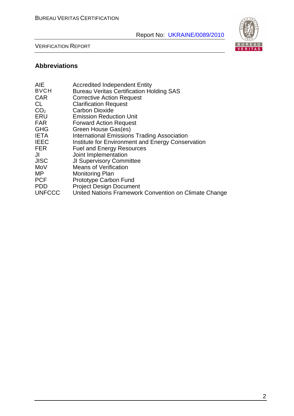

VERIFICATION REPORT

# **Abbreviations**

| <b>AIE</b>      | <b>Accredited Independent Entity</b>                  |
|-----------------|-------------------------------------------------------|
| <b>BVCH</b>     | <b>Bureau Veritas Certification Holding SAS</b>       |
| <b>CAR</b>      | <b>Corrective Action Request</b>                      |
| CL              | <b>Clarification Request</b>                          |
| CO <sub>2</sub> | <b>Carbon Dioxide</b>                                 |
| ERU             | <b>Emission Reduction Unit</b>                        |
| <b>FAR</b>      | <b>Forward Action Request</b>                         |
| <b>GHG</b>      | Green House Gas(es)                                   |
| <b>IETA</b>     | <b>International Emissions Trading Association</b>    |
| <b>IEEC</b>     | Institute for Environment and Energy Conservation     |
| <b>FER</b>      | <b>Fuel and Energy Resources</b>                      |
| JI              | Joint Implementation                                  |
| <b>JISC</b>     | <b>JI Supervisory Committee</b>                       |
| MoV             | <b>Means of Verification</b>                          |
| MP.             | <b>Monitoring Plan</b>                                |
| <b>PCF</b>      | <b>Prototype Carbon Fund</b>                          |
| <b>PDD</b>      | <b>Project Design Document</b>                        |
| <b>UNFCCC</b>   | United Nations Framework Convention on Climate Change |
|                 |                                                       |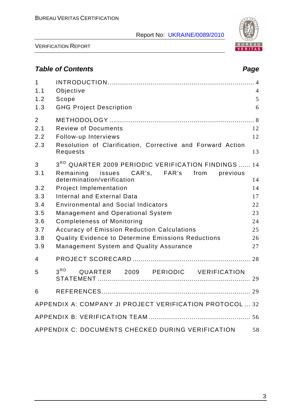

VERIFICATION REPORT

# **Table of Contents Page 2018**

| 1<br>1.1<br>1.2<br>1.3              | Objective<br>Scope<br><b>GHG Project Description</b>                                                                                      | $\overline{4}$<br>5<br>6 |  |  |
|-------------------------------------|-------------------------------------------------------------------------------------------------------------------------------------------|--------------------------|--|--|
| $\overline{2}$<br>2.1<br>2.2<br>2.3 | <b>Review of Documents</b><br>Follow-up Interviews<br>Resolution of Clarification, Corrective and Forward Action<br>Requests              | 12<br>12<br>13           |  |  |
| 3<br>3.1                            | 3RD QUARTER 2009 PERIODIC VERIFICATION FINDINGS  14<br>CAR's, FAR's from<br>Remaining<br>issues<br>previous<br>determination/verification | 14                       |  |  |
| 3.2                                 | <b>Project Implementation</b>                                                                                                             | 14                       |  |  |
| 3.3                                 | Internal and External Data                                                                                                                | 17                       |  |  |
| 3.4                                 | <b>Environmental and Social Indicators</b>                                                                                                | 22                       |  |  |
| 3.5                                 | <b>Management and Operational System</b><br>23                                                                                            |                          |  |  |
| 3.6                                 | <b>Completeness of Monitoring</b><br>24                                                                                                   |                          |  |  |
| 3.7                                 | <b>Accuracy of Emission Reduction Calculations</b><br>25                                                                                  |                          |  |  |
| 3.8                                 | Quality Evidence to Determine Emissions Reductions<br>26                                                                                  |                          |  |  |
| 3.9                                 | Management System and Quality Assurance                                                                                                   | 27                       |  |  |
| $\overline{4}$                      |                                                                                                                                           |                          |  |  |
| 5                                   | 3 <sup>RD</sup><br>QUARTER 2009 PERIODIC VERIFICATION                                                                                     |                          |  |  |
| 6                                   |                                                                                                                                           |                          |  |  |
|                                     | APPENDIX A: COMPANY JI PROJECT VERIFICATION PROTOCOL  32                                                                                  |                          |  |  |
|                                     |                                                                                                                                           |                          |  |  |
|                                     | APPENDIX C: DOCUMENTS CHECKED DURING VERIFICATION                                                                                         | 58                       |  |  |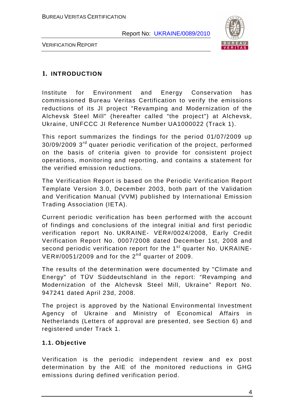



# **1. INTRODUCTION**

Institute for Environment and Energy Conservation has commissioned Bureau Veritas Certification to verify the emissions reductions of its JI project "Revamping and Modernization of the Alchevsk Steel Mill" (hereafter called "the project") at Alchevsk, Ukraine, UNFCCC JI Reference Number UA1000022 (Track 1).

This report summarizes the findings for the period 01/07/2009 up 30/09/2009 3rd quater periodic verification of the project, performed on the basis of criteria given to provide for consistent project operations, monitoring and reporting, and contains a statement for the verified emission reductions.

The Verification Report is based on the Periodic Verification Report Template Version 3.0, December 2003, both part of the Validation and Verification Manual (VVM) published by International Emission Trading Association (IETA).

Current periodic verification has been performed with the account of findings and conclusions of the integral initial and first periodic verification report No. UKRAINE- VER#/0024/2008, Early Credit Verification Report No. 0007/2008 dated December 1st, 2008 and second periodic verification report for the 1<sup>st</sup> quarter No. UKRAINE-VER#/0051/2009 and for the  $2^{nd}$  quarter of 2009.

The results of the determination were documented by "Climate and Energy" of TÜV Süddeutschland in the report: "Revamping and Modernization of the Alchevsk Steel Mill, Ukraine" Report No. 947241 dated April 23d, 2008.

The project is approved by the National Environmental Investment Agency of Ukraine and Ministry of Economical Affairs in Netherlands (Letters of approval are presented, see Section 6) and registered under Track 1.

# **1.1. Objective**

Verification is the periodic independent review and ex post determination by the AIE of the monitored reductions in GHG emissions during defined verification period.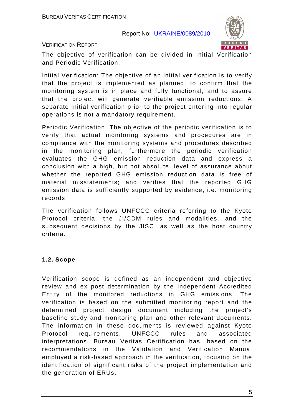

VERIFICATION REPORT

The objective of verification can be divided in Initial Verification and Periodic Verification.

Initial Verification: The objective of an initial verification is to verify that the project is implemented as planned, to confirm that the monitoring system is in place and fully functional, and to assure that the project will generate verifiable emission reductions. A separate initial verification prior to the project entering into regular operations is not a mandatory requirement.

Periodic Verification: The objective of the periodic verification is to verify that actual monitoring systems and procedures are in compliance with the monitoring systems and procedures described in the monitoring plan; furthermore the periodic verification evaluates the GHG emission reduction data and express a conclusion with a high, but not absolute, level of assurance about whether the reported GHG emission reduction data is free of material misstatements; and verifies that the reported GHG emission data is sufficiently supported by evidence, i.e. monitoring records.

The verification follows UNFCCC criteria referring to the Kyoto Protocol criteria, the JI/CDM rules and modalities, and the subsequent decisions by the JISC, as well as the host country criteria.

#### **1.2. Scope**

Verification scope is defined as an independent and objective review and ex post determination by the Independent Accredited Entity of the monitored reductions in GHG emissions. The verification is based on the submitted monitoring report and the determined project design document including the project's baseline study and monitoring plan and other relevant documents. The information in these documents is reviewed against Kyoto Protocol requirements, UNFCCC rules and associated interpretations. Bureau Veritas Certification has, based on the recommendations in the Validation and Verification Manual employed a risk-based approach in the verification, focusing on the identification of significant risks of the project implementation and the generation of ERUs.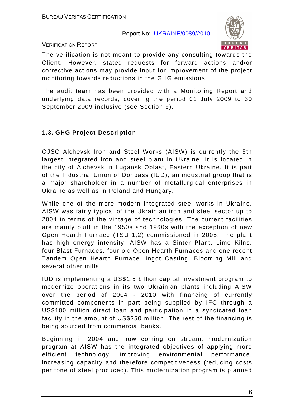

VERIFICATION REPORT

The verification is not meant to provide any consulting towards the Client. However, stated requests for forward actions and/or corrective actions may provide input for improvement of the project monitoring towards reductions in the GHG emissions.

The audit team has been provided with a Monitoring Report and underlying data records, covering the period 01 July 2009 to 30 September 2009 inclusive (see Section 6).

# **1.3. GHG Project Description**

OJSC Alchevsk Iron and Steel Works (AISW) is currently the 5th largest integrated iron and steel plant in Ukraine. It is located in the city of Alchevsk in Lugansk Oblast, Eastern Ukraine. It is part of the Industrial Union of Donbass (IUD), an industrial group that is a major shareholder in a number of metallurgical enterprises in Ukraine as well as in Poland and Hungary.

While one of the more modern integrated steel works in Ukraine, AISW was fairly typical of the Ukrainian iron and steel sector up to 2004 in terms of the vintage of technologies. The current facilities are mainly built in the 1950s and 1960s with the exception of new Open Hearth Furnace (TSU 1,2) commissioned in 2005. The plant has high energy intensity. AISW has a Sinter Plant, Lime Kilns, four Blast Furnaces, four old Open Hearth Furnaces and one recent Tandem Open Hearth Furnace, Ingot Casting, Blooming Mill and several other mills.

IUD is implementing a US\$1.5 billion capital investment program to modernize operations in its two Ukrainian plants including AISW over the period of 2004 - 2010 with financing of currently committed components in part being supplied by IFC through a US\$100 million direct loan and participation in a syndicated loan facility in the amount of US\$250 million. The rest of the financing is being sourced from commercial banks.

Beginning in 2004 and now coming on stream, modernization program at AISW has the integrated objectives of applying more efficient technology, improving environmental performance, increasing capacity and therefore competitiveness (reducing costs per tone of steel produced). This modernization program is planned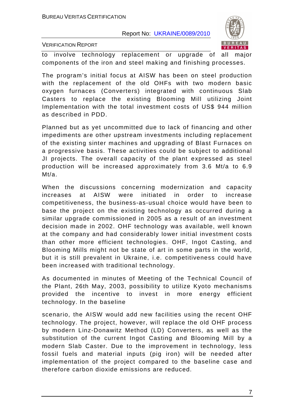

VERIFICATION REPORT

to involve technology replacement or upgrade of all major components of the iron and steel making and finishing processes.

The program's initial focus at AISW has been on steel production with the replacement of the old OHFs with two modern basic oxygen furnaces (Converters) integrated with continuous Slab Casters to replace the existing Blooming Mill utilizing Joint Implementation with the total investment costs of US\$ 944 million as described in PDD.

Planned but as yet uncommitted due to lack of financing and other impediments are other upstream investments including replacement of the existing sinter machines and upgrading of Blast Furnaces on a progressive basis. These activities could be subject to additional JI projects. The overall capacity of the plant expressed as steel production will be increased approximately from 3.6 Mt/a to 6.9 Mt/a.

When the discussions concerning modernization and capacity increases at AISW were initiated in order to increase competitiveness, the business-as-usual choice would have been to base the project on the existing technology as occurred during a similar upgrade commissioned in 2005 as a result of an investment decision made in 2002. OHF technology was available, well known at the company and had considerably lower initial investment costs than other more efficient technologies. OHF, Ingot Casting, and Blooming Mills might not be state of art in some parts in the world, but it is still prevalent in Ukraine, i.e. competitiveness could have been increased with traditional technology.

As documented in minutes of Meeting of the Technical Council of the Plant, 26th May, 2003, possibility to utilize Kyoto mechanisms provided the incentive to invest in more energy efficient technology. In the baseline

scenario, the AISW would add new facilities using the recent OHF technology. The project, however, will replace the old OHF process by modern Linz-Donawitz Method (LD) Converters, as well as the substitution of the current Ingot Casting and Blooming Mill by a modern Slab Caster. Due to the improvement in technology, less fossil fuels and material inputs (pig iron) will be needed after implementation of the project compared to the baseline case and therefore carbon dioxide emissions are reduced.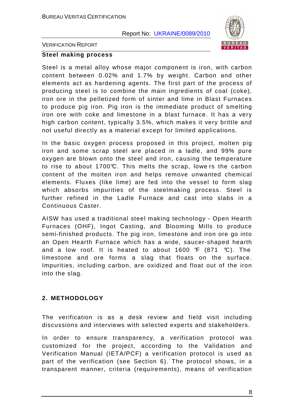

VERIFICATION REPORT

#### **Steel making process**

Steel is a metal alloy whose major component is iron, with carbon content between 0.02% and 1.7% by weight. Carbon and other elements act as hardening agents. The first part of the process of producing steel is to combine the main ingredients of coal (coke), iron ore in the pelletized form of sinter and lime in Blast Furnaces to produce pig iron. Pig iron is the immediate product of smelting iron ore with coke and limestone in a blast furnace. It has a very high carbon content, typically 3.5%, which makes it very brittle and not useful directly as a material except for limited applications.

In the basic oxygen process proposed in this project, molten pig iron and some scrap steel are placed in a ladle, and 99% pure oxygen are blown onto the steel and iron, causing the temperature to rise to about 1700°C. This melts the scrap, lowe rs the carbon content of the molten iron and helps remove unwanted chemical elements. Fluxes (like lime) are fed into the vessel to form slag which absorbs impurities of the steelmaking process. Steel is further refined in the Ladle Furnace and cast into slabs in a Continuous Caster.

AISW has used a traditional steel making technology - Open Hearth Furnaces (OHF), Ingot Casting, and Blooming Mills to produce semi-finished products. The pig iron, limestone and iron ore go into an Open Hearth Furnace which has a wide, saucer-shaped hearth and a low roof. It is heated to about 1600  $\mathbb{F}$  (871 °C). The limestone and ore forms a slag that floats on the surface. Impurities, including carbon, are oxidized and float out of the iron into the slag.

# **2. METHODOLOGY**

The verification is as a desk review and field visit including discussions and interviews with selected experts and stakeholders.

In order to ensure transparency, a verification protocol was customized for the project, according to the Validation and Verification Manual (IETA/PCF) a verification protocol is used as part of the verification (see Section 6). The protocol shows, in a transparent manner, criteria (requirements), means of verification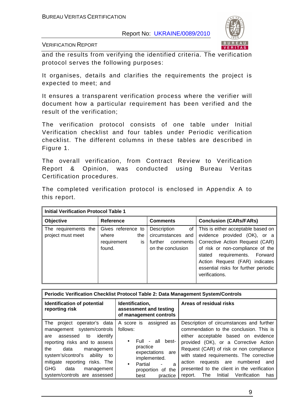

VERIFICATION REPORT

and the results from verifying the identified criteria. The verification protocol serves the following purposes:

It organises, details and clarifies the requirements the project is expected to meet; and

It ensures a transparent verification process where the verifier will document how a particular requirement has been verified and the result of the verification;

The verification protocol consists of one table under Initial Verification checklist and four tables under Periodic verification checklist. The different columns in these tables are described in Figure 1.

The overall verification, from Contract Review to Verification Report & Opinion, was conducted using Bureau Veritas Certification procedures.

| <b>Initial Verification Protocol Table 1</b> |                                                                   |                                                                                       |                                                                                                                                                                                                                                                                          |  |  |
|----------------------------------------------|-------------------------------------------------------------------|---------------------------------------------------------------------------------------|--------------------------------------------------------------------------------------------------------------------------------------------------------------------------------------------------------------------------------------------------------------------------|--|--|
| Objective                                    | <b>Reference</b>                                                  | <b>Comments</b>                                                                       | <b>Conclusion (CARs/FARs)</b>                                                                                                                                                                                                                                            |  |  |
| The requirements the<br>project must meet    | Gives reference to<br>where<br>the<br>requirement<br>is<br>found. | Description<br>of<br>circumstances<br>and<br>further<br>comments<br>on the conclusion | This is either acceptable based on<br>evidence provided (OK), or a<br>Corrective Action Request (CAR)<br>of risk or non-compliance of the<br>requirements. Forward<br>stated<br>Action Request (FAR) indicates<br>essential risks for further periodic<br>verifications. |  |  |

The completed verification protocol is enclosed in Appendix A to this report.

| Periodic Verification Checklist Protocol Table 2: Data Management System/Controls                                                                                                                                                                                                                           |                                                                                                                                                                                                    |                                                                                                                                                                                                                                                                                                                                                                                                                   |  |  |
|-------------------------------------------------------------------------------------------------------------------------------------------------------------------------------------------------------------------------------------------------------------------------------------------------------------|----------------------------------------------------------------------------------------------------------------------------------------------------------------------------------------------------|-------------------------------------------------------------------------------------------------------------------------------------------------------------------------------------------------------------------------------------------------------------------------------------------------------------------------------------------------------------------------------------------------------------------|--|--|
| Identification of potential<br>reporting risk                                                                                                                                                                                                                                                               | Identification,<br>assessment and testing<br>of management controls                                                                                                                                | Areas of residual risks                                                                                                                                                                                                                                                                                                                                                                                           |  |  |
| operator's data<br>The project<br>management system/controls<br>identify<br>assessed to<br>are<br>reporting risks and to assess<br>the<br>data<br>management<br>system's/control's<br>ability<br>to<br>reporting risks. The<br>mitigate<br><b>GHG</b><br>data<br>management<br>system/controls are assessed | A score is<br>assigned as<br>follows:<br>Full - all<br>best-<br>$\bullet$<br>practice<br>expectations<br>are<br>implemented.<br>Partial<br>a<br>$\bullet$<br>proportion of the<br>practice<br>best | Description of circumstances and further<br>commendation to the conclusion. This is<br>either acceptable based on evidence<br>provided (OK), or a Corrective Action<br>Request (CAR) of risk or non compliance<br>with stated requirements. The corrective<br>numbered<br>requests are<br>and<br>action<br>presented to the client in the verification<br>Verification<br><b>The</b><br>Initial<br>has<br>report. |  |  |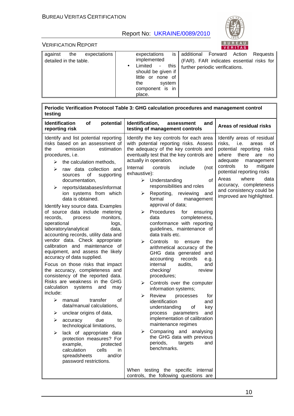

#### VERIFICATION REPORT

| against<br>the<br>expectations<br>detailed in the table. | is<br>expectations<br>implemented<br>this  <br>Limited<br>$\sim 10$<br>should be given if<br>little or none of<br>the<br>svstem<br>component is in<br>place. | additional<br>Forward Action Requests<br>(FAR). FAR indicates essential risks for<br>further periodic verifications. |
|----------------------------------------------------------|--------------------------------------------------------------------------------------------------------------------------------------------------------------|----------------------------------------------------------------------------------------------------------------------|
|----------------------------------------------------------|--------------------------------------------------------------------------------------------------------------------------------------------------------------|----------------------------------------------------------------------------------------------------------------------|

| Periodic Verification Protocol Table 3: GHG calculation procedures and management control<br>testing                                                                                                                                                                                                                                                                                                                                                                                                                                                                                                                                                                                                                                                                                                                                                                                                                                                                                                                                                                                                                                                                                                                       |                                                                                                                                                                                                                                                                                                                                                                                                                                                                                                                                                                                                                                                                                                                                                                                                                                                                                                                                                                                                                                                                                                                                                               |                                                                                                                                                                                                                                                                                                                            |  |  |
|----------------------------------------------------------------------------------------------------------------------------------------------------------------------------------------------------------------------------------------------------------------------------------------------------------------------------------------------------------------------------------------------------------------------------------------------------------------------------------------------------------------------------------------------------------------------------------------------------------------------------------------------------------------------------------------------------------------------------------------------------------------------------------------------------------------------------------------------------------------------------------------------------------------------------------------------------------------------------------------------------------------------------------------------------------------------------------------------------------------------------------------------------------------------------------------------------------------------------|---------------------------------------------------------------------------------------------------------------------------------------------------------------------------------------------------------------------------------------------------------------------------------------------------------------------------------------------------------------------------------------------------------------------------------------------------------------------------------------------------------------------------------------------------------------------------------------------------------------------------------------------------------------------------------------------------------------------------------------------------------------------------------------------------------------------------------------------------------------------------------------------------------------------------------------------------------------------------------------------------------------------------------------------------------------------------------------------------------------------------------------------------------------|----------------------------------------------------------------------------------------------------------------------------------------------------------------------------------------------------------------------------------------------------------------------------------------------------------------------------|--|--|
| <b>Identification</b><br>of<br>potential<br>reporting risk                                                                                                                                                                                                                                                                                                                                                                                                                                                                                                                                                                                                                                                                                                                                                                                                                                                                                                                                                                                                                                                                                                                                                                 | Identification,<br>and<br>assessment<br>testing of management controls                                                                                                                                                                                                                                                                                                                                                                                                                                                                                                                                                                                                                                                                                                                                                                                                                                                                                                                                                                                                                                                                                        | Areas of residual risks                                                                                                                                                                                                                                                                                                    |  |  |
| Identify and list potential reporting<br>risks based on an assessment of<br>the<br>emission<br>estimation<br>procedures, i.e.<br>the calculation methods,<br>➤<br>raw data collection and<br>⋗<br>οf<br>supporting<br>sources<br>documentation,<br>reports/databases/informat<br>⋗<br>ion systems from which<br>data is obtained.<br>Identify key source data. Examples<br>of source data include metering<br>monitors,<br>records,<br>process<br>operational<br>logs,<br>laboratory/analytical<br>data,<br>accounting records, utility data and<br>vendor data. Check appropriate<br>calibration and maintenance of<br>equipment, and assess the likely<br>accuracy of data supplied.<br>Focus on those risks that impact<br>the accuracy, completeness and<br>consistency of the reported data.<br>Risks are weakness in the GHG<br>calculation<br>systems<br>and<br>may<br>include:<br>⋗<br>transfer<br>0f<br>manual<br>data/manual calculations,<br>unclear origins of data,<br>➤<br>due<br>➤<br>to<br>accuracy<br>technological limitations,<br>➤<br>lack of appropriate data<br>protection measures? For<br>example,<br>protected<br>calculation<br>cells<br>in.<br>spreadsheets<br>and/or<br>password restrictions. | Identify the key controls for each area<br>with potential reporting risks. Assess<br>the adequacy of the key controls and<br>eventually test that the key controls are<br>actually in operation.<br>Internal<br>include<br>controls<br>(not<br>exhaustive):<br>of<br>≻<br>Understanding<br>responsibilities and roles<br>Reporting,<br>reviewing<br>➤<br>and<br>formal<br>management<br>approval of data;<br>Procedures<br>for<br>➤<br>ensuring<br>completeness,<br>data<br>conformance with reporting<br>guidelines, maintenance of<br>data trails etc.<br>➤<br>Controls<br>to<br>ensure<br>the<br>arithmetical accuracy of the<br>GHG data generated and<br>accounting<br>records<br>e.g.<br>internal<br>audits,<br>and<br>checking/<br>review<br>procedures;<br>Controls over the computer<br>➤<br>information systems;<br>Review<br>➤<br>processes<br>for<br>identification<br>and<br>understanding<br>key<br>οf<br>and<br>process<br>parameters<br>implementation of calibration<br>maintenance regimes<br>Comparing and analysing<br>⋗<br>the GHG data with previous<br>periods,<br>targets<br>and<br>benchmarks.<br>When testing the specific internal | Identify areas of residual<br>risks,<br>i.e.<br>areas<br>οf<br>potential reporting risks<br>where<br>there<br>are<br>no.<br>adequate<br>management<br>controls<br>to<br>mitigate<br>potential reporting risks<br>Areas<br>where<br>data<br>accuracy, completeness<br>and consistency could be<br>improved are highlighted. |  |  |
|                                                                                                                                                                                                                                                                                                                                                                                                                                                                                                                                                                                                                                                                                                                                                                                                                                                                                                                                                                                                                                                                                                                                                                                                                            | controls, the following questions are                                                                                                                                                                                                                                                                                                                                                                                                                                                                                                                                                                                                                                                                                                                                                                                                                                                                                                                                                                                                                                                                                                                         |                                                                                                                                                                                                                                                                                                                            |  |  |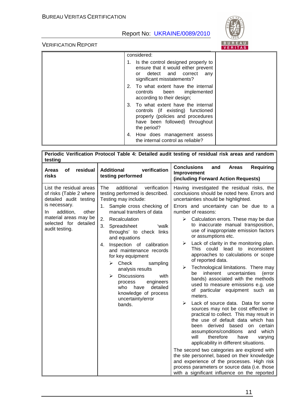

#### VERIFICATION REPORT

|                                                                                                                                                                   | . |
|-------------------------------------------------------------------------------------------------------------------------------------------------------------------|---|
| considered:                                                                                                                                                       |   |
| 1. Is the control designed properly to<br>ensure that it would either prevent<br>or detect and correct<br>any<br>significant misstatements?                       |   |
| 2. To what extent have the internal<br>controls been implemented<br>according to their design;                                                                    |   |
| To what extent have the internal<br>3.<br>controls (if existing) functioned<br>properly (policies and procedures<br>have been followed) throughout<br>the period? |   |
| How does management assess<br>4.<br>the internal control as reliable?                                                                                             |   |

| Periodic Verification Protocol Table 4: Detailed audit testing of residual risk areas and random<br>testing                                                                                    |                                                                                                                                                                                                                                                                                                                                                                                                                                                                                                                                            |                                                                                                                                                                                                                                                                                                                                                                                                                                                                                                                                                                                                                                                                                                                                                                                                                                                                                                                                                                                                                                                                                                                                                                                                                                                                                                                                           |  |  |
|------------------------------------------------------------------------------------------------------------------------------------------------------------------------------------------------|--------------------------------------------------------------------------------------------------------------------------------------------------------------------------------------------------------------------------------------------------------------------------------------------------------------------------------------------------------------------------------------------------------------------------------------------------------------------------------------------------------------------------------------------|-------------------------------------------------------------------------------------------------------------------------------------------------------------------------------------------------------------------------------------------------------------------------------------------------------------------------------------------------------------------------------------------------------------------------------------------------------------------------------------------------------------------------------------------------------------------------------------------------------------------------------------------------------------------------------------------------------------------------------------------------------------------------------------------------------------------------------------------------------------------------------------------------------------------------------------------------------------------------------------------------------------------------------------------------------------------------------------------------------------------------------------------------------------------------------------------------------------------------------------------------------------------------------------------------------------------------------------------|--|--|
| residual<br><b>Areas</b><br>οf<br>risks                                                                                                                                                        | verification<br><b>Additional</b><br>testing performed                                                                                                                                                                                                                                                                                                                                                                                                                                                                                     | <b>Requiring</b><br><b>Conclusions</b><br>and<br><b>Areas</b><br>Improvement<br>(including Forward Action Requests)                                                                                                                                                                                                                                                                                                                                                                                                                                                                                                                                                                                                                                                                                                                                                                                                                                                                                                                                                                                                                                                                                                                                                                                                                       |  |  |
| List the residual areas<br>of risks (Table 2 where<br>detailed audit testing<br>is necessary.<br>addition,<br>other<br>In.<br>material areas may be<br>selected for detailed<br>audit testing. | The<br>additional<br>verification<br>testing performed is described.<br>Testing may include:<br>Sample cross checking of<br>1.<br>manual transfers of data<br>Recalculation<br>2.<br>3.<br>Spreadsheet<br>'walk<br>throughs' to check links<br>and equations<br>4.<br>Inspection of calibration<br>and maintenance records<br>for key equipment<br>Check<br>➤<br>sampling<br>analysis results<br>⋗<br><b>Discussions</b><br>with<br>engineers<br>process<br>who<br>detailed<br>have<br>knowledge of process<br>uncertainty/error<br>bands. | Having investigated the residual risks, the<br>conclusions should be noted here. Errors and<br>uncertainties should be highlighted.<br>Errors and uncertainty can be due to a<br>number of reasons:<br>$\blacktriangleright$<br>Calculation errors. These may be due<br>to inaccurate manual transposition,<br>use of inappropriate emission factors<br>or assumptions etc.<br>Lack of clarity in the monitoring plan.<br>➤<br>This could lead to inconsistent<br>approaches to calculations or scope<br>of reported data.<br>Technological limitations. There may<br>➤<br>inherent<br>uncertainties<br>be<br>(error<br>bands) associated with the methods<br>used to measure emissions e.g. use<br>of particular equipment such as<br>meters.<br>Lack of source data. Data for some<br>➤<br>sources may not be cost effective or<br>practical to collect. This may result in<br>the use of default data which has<br>derived<br>based<br>certain<br>been<br>on<br>assumptions/conditions<br>which<br>and<br>will<br>therefore<br>have<br>varying<br>applicability in different situations.<br>The second two categories are explored with<br>the site personnel, based on their knowledge<br>and experience of the processes. High risk<br>process parameters or source data (i.e. those<br>with a significant influence on the reported |  |  |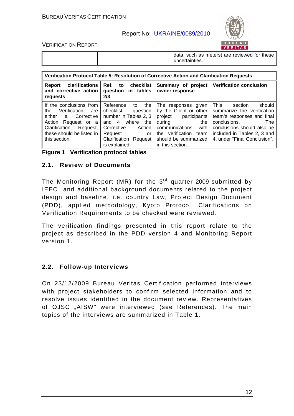

VERIFICATION REPORT

| data, such as meters) are reviewed for these<br>uncertainties. |
|----------------------------------------------------------------|

| Verification Protocol Table 5: Resolution of Corrective Action and Clarification Requests                                                                                            |                                                                                                                                                                                          |                                                                                                                                                                                          |                                                                                                                                                                                                                    |  |
|--------------------------------------------------------------------------------------------------------------------------------------------------------------------------------------|------------------------------------------------------------------------------------------------------------------------------------------------------------------------------------------|------------------------------------------------------------------------------------------------------------------------------------------------------------------------------------------|--------------------------------------------------------------------------------------------------------------------------------------------------------------------------------------------------------------------|--|
| clarifications<br>Report<br>and corrective action<br>requests                                                                                                                        | Ref. to checklist<br>question in tables<br>2/3                                                                                                                                           | Summary of project<br>owner response                                                                                                                                                     | <b>Verification conclusion</b>                                                                                                                                                                                     |  |
| If the conclusions from<br>Verification<br>the<br>are<br>either<br>Corrective<br>a<br>Action Request or a<br>Clarification<br>Request,<br>these should be listed in<br>this section. | Reference<br>the<br>to<br>checklist<br>question<br>number in Tables 2, 3<br>and 4 where<br>the<br>Corrective<br>Action<br>Request<br>or<br><b>Clarification Request</b><br>is explained. | The responses given<br>by the Client or other<br>project<br>participants<br>during<br>the<br>communications<br>with<br>the verification team<br>should be summarized<br>in this section. | <b>This</b><br>should<br>section<br>summarize the verification<br>team's responses and final<br>conclusions.<br>The T<br>conclusions should also be<br>included in Tables 2, 3 and<br>4, under "Final Conclusion". |  |

#### **Figure 1 Verification protocol tables**

#### **2.1. Review of Documents**

The Monitoring Report (MR) for the  $3<sup>rd</sup>$  quarter 2009 submitted by IEEC and additional background documents related to the project design and baseline, i.e. country Law, Project Design Document (PDD), applied methodology, Kyoto Protocol, Clarifications on Verification Requirements to be checked were reviewed.

The verification findings presented in this report relate to the project as described in the PDD version 4 and Monitoring Report version 1.

#### **2.2. Follow-up Interviews**

On 23/12/2009 Bureau Veritas Certification performed interviews with project stakeholders to confirm selected information and to resolve issues identified in the document review. Representatives of OJSC "AISW" were interviewed (see References). The main topics of the interviews are summarized in Table 1.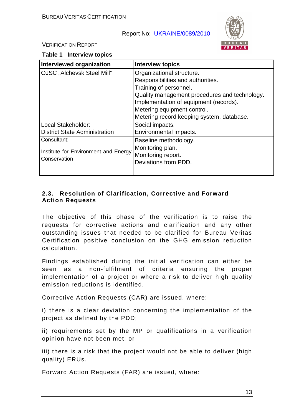

VERIFICATION REPORT

| <b>Table 1 Interview topics</b>                                           |                                                                                                                                                                                                                                                                 |  |  |
|---------------------------------------------------------------------------|-----------------------------------------------------------------------------------------------------------------------------------------------------------------------------------------------------------------------------------------------------------------|--|--|
| <b>Interviewed organization</b>                                           | <b>Interview topics</b>                                                                                                                                                                                                                                         |  |  |
| OJSC "Alchevsk Steel Mill"                                                | Organizational structure.<br>Responsibilities and authorities.<br>Training of personnel.<br>Quality management procedures and technology.<br>Implementation of equipment (records).<br>Metering equipment control.<br>Metering record keeping system, database. |  |  |
| Local Stakeholder:<br><b>District State Administration</b><br>Consultant: | Social impacts.<br>Environmental impacts.<br>Baseline methodology.<br>Monitoring plan.                                                                                                                                                                          |  |  |
| Institute for Environment and Energy<br>Conservation                      | Monitoring report.<br>Deviations from PDD.                                                                                                                                                                                                                      |  |  |

### **2.3. Resolution of Clarification, Corrective and Forward Action Requests**

The objective of this phase of the verification is to raise the requests for corrective actions and clarification and any other outstanding issues that needed to be clarified for Bureau Veritas Certification positive conclusion on the GHG emission reduction calculation.

Findings established during the initial verification can either be seen as a non-fulfilment of criteria ensuring the proper implementation of a project or where a risk to deliver high quality emission reductions is identified.

Corrective Action Requests (CAR) are issued, where:

i) there is a clear deviation concerning the implementation of the project as defined by the PDD;

ii) requirements set by the MP or qualifications in a verification opinion have not been met; or

iii) there is a risk that the project would not be able to deliver (high quality) ERUs.

Forward Action Requests (FAR) are issued, where: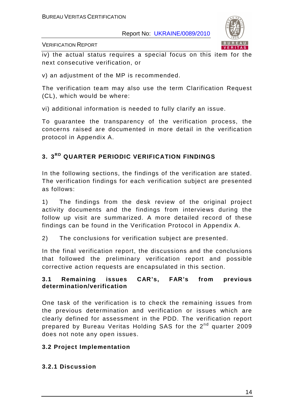

VERIFICATION REPORT

iv) the actual status requires a special focus on this item for the next consecutive verification, or

v) an adjustment of the MP is recommended.

The verification team may also use the term Clarification Request (CL), which would be where:

vi) additional information is needed to fully clarify an issue.

To guarantee the transparency of the verification process, the concerns raised are documented in more detail in the verification protocol in Appendix A.

# **3. 3RD QUARTER PERIODIC VERIFICATION FINDINGS**

In the following sections, the findings of the verification are stated. The verification findings for each verification subject are presented as follows:

1) The findings from the desk review of the original project activity documents and the findings from interviews during the follow up visit are summarized. A more detailed record of these findings can be found in the Verification Protocol in Appendix A.

2) The conclusions for verification subject are presented.

In the final verification report, the discussions and the conclusions that followed the preliminary verification report and possible corrective action requests are encapsulated in this section.

#### **3.1 Remaining issues CAR's, FAR's from previous determination/verification**

One task of the verification is to check the remaining issues from the previous determination and verification or issues which are clearly defined for assessment in the PDD. The verification report prepared by Bureau Veritas Holding SAS for the 2<sup>nd</sup> quarter 2009 does not note any open issues.

# **3.2 Project Implementation**

# **3.2.1 Discussion**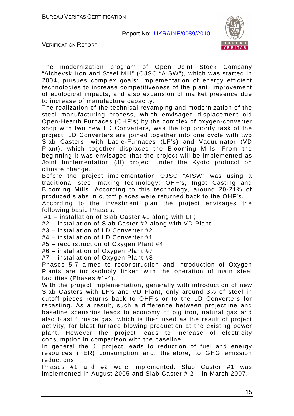

VERIFICATION REPORT

The modernization program of Open Joint Stock Company "Alchevsk Iron and Steel Mill" (OJSC "AISW"), which was started in 2004, pursues complex goals: implementation of energy efficient technologies to increase competitiveness of the plant, improvement of ecological impacts, and also expansion of market presence due to increase of manufacture capacity.

The realization of the technical revamping and modernization of the steel manufacturing process, which envisaged displacement old Open-Hearth Furnaces (OHF's) by the complex of oxygen-converter shop with two new LD Converters, was the top priority task of the project. LD Converters are joined together into one cycle with two Slab Casters, with Ladle-Furnaces (LF's) and Vacuumator (VD Plant), which together displaces the Blooming Mills. From the beginning it was envisaged that the project will be implemented as Joint Implementation (JI) project under the Kyoto protocol on climate change.

Before the project implementation OJSC "AISW" was using a traditional steel making technology: OHF's, Ingot Casting and Blooming Mills. According to this technology, around 20-21% of produced slabs in cutoff pieces were returned back to the OHF's.

According to the investment plan the project envisages the following basic Phases:

#1 – installation of Slab Caster #1 along with LF;

#2 – installation of Slab Caster #2 along with VD Plant;

#3 – installation of LD Converter #2

#4 – installation of LD Converter #1

#5 – reconstruction of Oxygen Plant #4

#6 – installation of Oxygen Plant #7

#7 – installation of Oxygen Plant #8

Phases 5-7 aimed to reconstruction and introduction of Oxygen Plants are indissolubly linked with the operation of main steel facilities (Phases #1-4).

With the project implementation, generally with introduction of new Slab Casters with LF's and VD Plant, only around 3% of steel in cutoff pieces returns back to OHF's or to the LD Converters for recasting. As a result, such a difference between projectline and baseline scenarios leads to economy of pig iron, natural gas and also blast furnace gas, which is then used as the result of project activity, for blast furnace blowing production at the existing power plant. However the project leads to increase of electricity consumption in comparison with the baseline.

In general the JI project leads to reduction of fuel and energy resources (FER) consumption and, therefore, to GHG emission reductions.

Phases #1 and #2 were implemented: Slab Caster #1 was implemented in August 2005 and Slab Caster # 2 – in March 2007.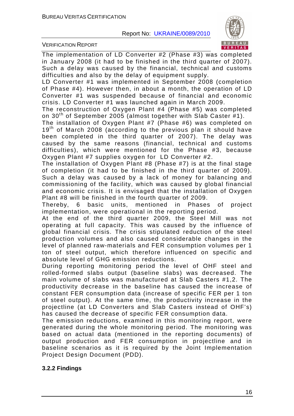

VERIFICATION REPORT

The implementation of LD Converter #2 (Phase #3) was completed in January 2008 (it had to be finished in the third quarter of 2007). Such a delay was caused by the financial, technical and customs difficulties and also by the delay of equipment supply.

LD Converter #1 was implemented in September 2008 (completion of Phase #4). However then, in about a month, the operation of LD Converter #1 was suspended because of financial and economic crisis. LD Converter #1 was launched again in March 2009.

The reconstruction of Oxygen Plant #4 (Phase #5) was completed on 30<sup>th</sup> of September 2005 (almost together with Slab Caster #1).

The installation of Oxygen Plant #7 (Phase #6) was completed on 19<sup>th</sup> of March 2008 (according to the previous plan it should have been completed in the third quarter of 2007). The delay was caused by the same reasons (financial, technical and customs difficulties), which were mentioned for the Phase #3, because Oxygen Plant #7 supplies oxygen for LD Converter #2.

The installation of Oxygen Plant #8 (Phase #7) is at the final stage of completion (it had to be finished in the third quarter of 2009). Such a delay was caused by a lack of money for balancing and commissioning of the facility, which was caused by global financial and economic crisis. It is envisaged that the installation of Oxygen Plant #8 will be finished in the fourth quarter of 2009.

Thereby, 6 basic units, mentioned in Phases of project implementation, were operational in the reporting period.

At the end of the third quarter 2009, the Steel Mill was not operating at full capacity. This was caused by the influence of global financial crisis. The crisis stipulated reduction of the steel production volumes and also caused considerable changes in the level of planned raw-materials and FER consumption volumes per 1 ton of steel output, which therefore influenced on specific and absolute level of GHG emission reductions.

During reporting monitoring period the level of OHF steel and rolled-formed slabs output (baseline slabs) was decreased. The main volume of slabs was manufactured at Slab Casters #1,2. The productivity decrease in the baseline has caused the increase of constant FER consumption data (increase of specific FER per 1 ton of steel output). At the same time, the productivity increase in the projectline (at LD Converters and Slab Casters instead of OHF's) has caused the decrease of specific FER consumption data.

The emission reductions, examined in this monitoring report, were generated during the whole monitoring period. The monitoring was based on actual data (mentioned in the reporting documents) of output production and FER consumption in projectline and in baseline scenarios as it is required by the Joint Implementation Project Design Document (PDD).

#### **3.2.2 Findings**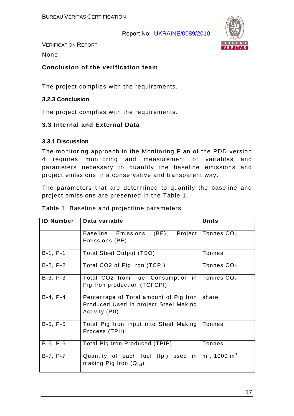

VERIFICATION REPORT

None.

### **Conclusion of the verification team**

The project complies with the requirements.

#### **3.2.3 Conclusion**

The project complies with the requirements.

# **3.3 Internal and External Data**

#### **3.3.1 Discussion**

The monitoring approach in the Monitoring Plan of the PDD version 4 requires monitoring and measurement of variables and parameters necessary to quantify the baseline emissions and project emissions in a conservative and transparent way.

The parameters that are determined to quantify the baseline and project emissions are presented in the Table 1.

| Table 1. Baseline and projectline parameters |  |  |  |
|----------------------------------------------|--|--|--|
|----------------------------------------------|--|--|--|

| <b>ID Number</b> | Data variable                                                                                     | <b>Units</b>                           |
|------------------|---------------------------------------------------------------------------------------------------|----------------------------------------|
|                  | Baseline Emissions<br>Project<br>$(BE)$ ,<br>Emissions (PE)                                       | Tonnes $CO2$                           |
| $B-1, P-1$       | Total Steel Output (TSO)                                                                          | Tonnes                                 |
| $B-2, P-2$       | Total CO2 of Pig Iron (TCPI)                                                                      | Tonnes $CO2$                           |
| $B-3, P-3$       | Total CO2 from Fuel Consumption in<br>Pig Iron production (TCFCPI)                                | Tonnes $CO2$                           |
| $B-4, P-4$       | Percentage of Total amount of Pig Iron<br>Produced Used in project Steel Making<br>Activity (PII) | share                                  |
| $B-5, P-5$       | Total Pig Iron Input into Steel Making<br>Process (TPII)                                          | <b>Tonnes</b>                          |
| $B-6, P-6$       | Total Pig Iron Produced (TPIP)                                                                    | Tonnes                                 |
| $B-7, P-7$       | Quantity of each fuel (fpi) used in<br>making Pig Iron $(Q_{\text{foi}})$                         | $\overline{m}^3$ , 1000 m <sup>3</sup> |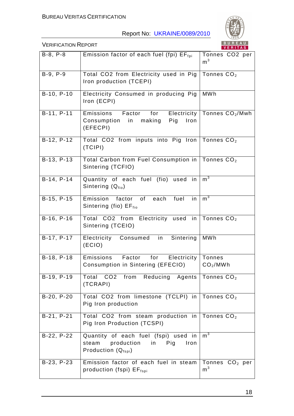

| <b>VERIFICATION REPORT</b> | <b>BUREAU</b><br><b>VERITAS</b>                                                                             |                                              |
|----------------------------|-------------------------------------------------------------------------------------------------------------|----------------------------------------------|
| $B-8, P-8$                 | Emission factor of each fuel (fpi) EF <sub>fpi</sub>                                                        | Tonnes CO2 per<br>m <sup>3</sup>             |
| $B-9, P-9$                 | Total CO2 from Electricity used in Pig<br>Iron production (TCEPI)                                           | Tonnes $CO2$                                 |
| B-10, P-10                 | Electricity Consumed in producing Pig<br>Iron (ECPI)                                                        | <b>MWh</b>                                   |
| B-11, P-11                 | Emissions Factor for Electricity<br>Consumption in<br>making<br>Iron<br>Pig<br>(EFECPI)                     | Tonnes CO <sub>2</sub> /Mwh                  |
| B-12, P-12                 | Total CO2 from inputs into Pig Iron Tonnes $CO2$<br>(TCIPI)                                                 |                                              |
| $B-13, P-13$               | Total Carbon from Fuel Consumption in Tonnes $CO2$<br>Sintering (TCFIO)                                     |                                              |
| B-14, P-14                 | Quantity of each fuel (fio) used in<br>Sintering $(Q_{fio})$                                                | m <sup>3</sup>                               |
| B-15, P-15                 | Emission factor of each fuel<br>in<br>Sintering (fio) EF <sub>fio</sub>                                     | m <sup>3</sup>                               |
| B-16, P-16                 | Total CO2 from Electricity used in Tonnes $CO2$<br>Sintering (TCEIO)                                        |                                              |
| B-17, P-17                 | Electricity Consumed in<br>Sintering<br>(ECIO)                                                              | MWh                                          |
| B-18, P-18                 | Factor<br>for<br>Emissions<br>Electricity   Tonnes<br>Consumption in Sintering (EFECIO)                     | CO <sub>2</sub> /MWh                         |
| $B-19, P-19$               | Total CO2<br>from Reducing Agents<br>(TCRAPI)                                                               | Tonnes $CO2$                                 |
| B-20, P-20                 | Total CO2 from limestone (TCLPI) in<br>Pig Iron production                                                  | Tonnes $CO2$                                 |
| B-21, P-21                 | Total CO2 from steam production in<br>Pig Iron Production (TCSPI)                                           | Tonnes $CO2$                                 |
| B-22, P-22                 | Quantity of each fuel (fspi) used in<br>steam<br>production<br>in<br>Pig<br>Iron<br>Production $(Q_{fspi})$ | m <sup>3</sup>                               |
| B-23, P-23                 | Emission factor of each fuel in steam<br>production (fspi) EF <sub>fspi</sub>                               | Tonnes CO <sub>2</sub> per<br>m <sup>3</sup> |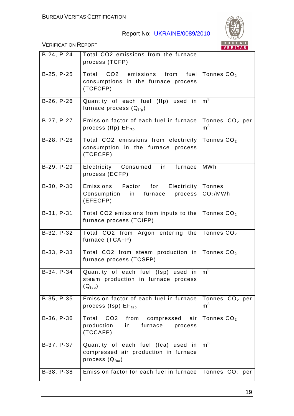

Tonnes CO<sub>2</sub>

Tonnes CO<sub>2</sub> per

 $\mathsf{m}^3$ 

 $\mathsf{m}^3$ 

|              | <b>VERIFICATION REPORT</b>                                                            |  |  |  |  |  |
|--------------|---------------------------------------------------------------------------------------|--|--|--|--|--|
| $B-24, P-24$ | Total CO2 emissions from the furnace<br>process (TCFP)                                |  |  |  |  |  |
| B-25, P-25   | Total CO2 emissions from<br>fuel –<br>consumptions in the furnace process<br>(TCFCFP) |  |  |  |  |  |
| B-26, P-26   | Quantity of each fuel (ffp) used<br>in.<br>furnace process $(Q_{\text{ffn}})$         |  |  |  |  |  |
| B-27, P-27   | Emission factor of each fuel in furnace<br>process (ffp) EF <sub>ffp</sub>            |  |  |  |  |  |
| B-28, P-28   | Total CO2 emissions from electricity<br>consumption in the furnace process            |  |  |  |  |  |

| B-28, P-28   | Total CO2 emissions from electricity Tonnes $CO2$<br>consumption in the furnace process<br>(TCECFP) |                                       |
|--------------|-----------------------------------------------------------------------------------------------------|---------------------------------------|
| B-29, P-29   | Electricity Consumed in furnace<br>process (ECFP)                                                   | MWh                                   |
| B-30, P-30   | Emissions Factor for Electricity<br>Consumption<br>in furnace<br>process<br>(EFECFP)                | <b>Tonnes</b><br>CO <sub>2</sub> /MWh |
| B-31, P-31   | Total CO2 emissions from inputs to the Tonnes $CO2$<br>furnace process (TCIFP)                      |                                       |
| B-32, P-32   | Total CO2 from Argon entering the Tonnes $CO2$<br>furnace (TCAFP)                                   |                                       |
| B-33, P-33   | Total CO2 from steam production in Tonnes $CO2$<br>furnace process (TCSFP)                          |                                       |
| $B-34, P-34$ | Quantity of each fuel (fsp) used in<br>steam production in furnace process<br>$(Q_{\text{fsp}})$    | m <sup>3</sup>                        |
| B-35, P-35   | Emission factor of each fuel in furnace<br>process (fsp) $EF_{fsp}$                                 | Tonnes $CO2$ per<br>m <sup>3</sup>    |
| B-36, P-36   | Total CO2 from compressed air<br>production<br>in furnace process<br>(TCCAFP)                       | Tonnes $CO2$                          |
| B-37, P-37   | Quantity of each fuel (fca) used in<br>compressed air production in furnace<br>process $(Q_{fca})$  | $m^3$                                 |
| $B-38, P-38$ | Emission factor for each fuel in furnace $\vert$ Tonnes CO <sub>2</sub> per                         |                                       |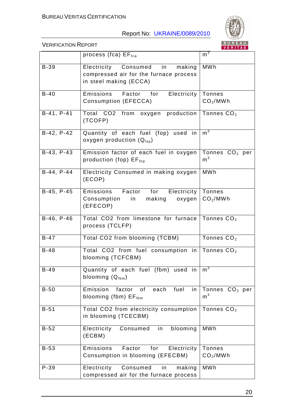

VERIFICATION REPORT

|              |                                                                                                       | <u>VERIIAS</u>                        |
|--------------|-------------------------------------------------------------------------------------------------------|---------------------------------------|
|              | process (fca) $EF_{\text{fca}}$                                                                       | m <sup>3</sup>                        |
| $B-39$       | Electricity Consumed in<br>making<br>compressed air for the furnace process<br>in steel making (ECCA) | <b>MWh</b>                            |
| $B-40$       | Emissions Factor for Electricity Tonnes<br>Consumption (EFECCA)                                       | CO <sub>2</sub> /MWh                  |
| B-41, P-41   | Total CO2 from oxygen production Tonnes $CO2$<br>(TCOFP)                                              |                                       |
| B-42, P-42   | Quantity of each fuel (fop) used in<br>oxygen production $(Q_{\text{fsp}})$                           | $m^3$                                 |
| B-43, P-43   | Emission factor of each fuel in oxygen<br>production (fop) $EF_{\text{fop}}$                          | Tonnes $CO2$ per<br>m <sup>3</sup>    |
| $B-44, P-44$ | Electricity Consumed in making oxygen<br>(ECOP)                                                       | MWh                                   |
| $B-45, P-45$ | Emissions Factor for Electricity   Tonnes<br>making<br>Consumption in<br>oxygen<br>(EFECOP)           | CO <sub>2</sub> /MWh                  |
| B-46, P-46   | Total CO2 from limestone for furnace Tonnes $CO2$<br>process (TCLFP)                                  |                                       |
| $B-47$       | Total CO2 from blooming (TCBM)                                                                        | Tonnes $CO2$                          |
| $B-48$       | Total CO2 from fuel consumption in Tonnes $CO2$<br>blooming (TCFCBM)                                  |                                       |
| $B-49$       | Quantity of each fuel (fbm) used in $\lfloor m^3 \rfloor$<br>blooming $(Q_{fbm})$                     |                                       |
| $B-50$       | Emission factor<br>fuel<br>each<br>of<br>in<br>blooming (fbm) $EF_{fbm}$                              | Tonnes $CO2$ per<br>m <sup>3</sup>    |
| $B-51$       | Total CO2 from electricity consumption<br>in blooming (TCECBM)                                        | Tonnes CO <sub>2</sub>                |
| $B-52$       | Electricity<br>blooming<br>Consumed<br>in<br>(ECBM)                                                   | <b>MWh</b>                            |
| $B-53$       | Factor<br>for<br>Electricity<br>Emissions<br>Consumption in blooming (EFECBM)                         | <b>Tonnes</b><br>CO <sub>2</sub> /MWh |
| $P-39$       | Electricity<br>Consumed<br>in<br>making<br>compressed air for the furnace process                     | <b>MWh</b>                            |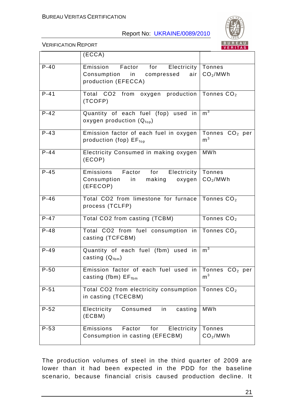

VERIFICATION REPORT

|          | (ECCA)                                                |                              |
|----------|-------------------------------------------------------|------------------------------|
| $P-40$   | Factor for<br>Electricity   Tonnes<br>Emission        |                              |
|          | Consumption in compressed<br>air                      | $\vert$ CO <sub>2</sub> /MWh |
|          | production (EFECCA)                                   |                              |
|          |                                                       |                              |
| $P-41$   | Total CO2 from oxygen production Tonnes $CO2$         |                              |
|          | (TCOFP)                                               |                              |
|          |                                                       |                              |
| $P-42$   | Quantity of each fuel (fop) used in                   | $m^3$                        |
|          | oxygen production $(Q_{\text{fop}})$                  |                              |
|          |                                                       |                              |
| $P-43$   | Emission factor of each fuel in oxygen                | Tonnes $CO2$ per             |
|          | production (fop) $EF_{\text{top}}$                    | m <sup>3</sup>               |
|          |                                                       |                              |
| $P-44$   | Electricity Consumed in making oxygen                 | <b>MWh</b>                   |
|          | (ECOP)                                                |                              |
|          |                                                       |                              |
| $P-45$   | Emissions Factor for Electricity Tonnes               |                              |
|          | Consumption in<br>making oxygen                       | CO <sub>2</sub> /MWh         |
|          | (EFECOP)                                              |                              |
|          |                                                       |                              |
| $P-46$   | Total CO2 from limestone for furnace   Tonnes $CO2$   |                              |
|          | process (TCLFP)                                       |                              |
|          |                                                       |                              |
| $P - 47$ | Total CO2 from casting (TCBM)                         | Tonnes $CO2$                 |
|          |                                                       |                              |
| $P-48$   | Total CO2 from fuel consumption in Tonnes $CO2$       |                              |
|          | casting (TCFCBM)                                      |                              |
|          |                                                       |                              |
| $P-49$   | Quantity of each fuel (fbm) used in                   | m <sup>3</sup>               |
|          | casting $(Q_{fbm})$                                   |                              |
|          |                                                       |                              |
| $P-50$   | Emission factor of each fuel used in Tonnes $CO2$ per |                              |
|          | casting (fbm) $EF_{fbm}$                              | m <sup>3</sup>               |
| $P-51$   |                                                       |                              |
|          | Total CO2 from electricity consumption                | Tonnes CO <sub>2</sub>       |
|          | in casting (TCECBM)                                   |                              |
| $P-52$   | Electricity<br>Consumed<br>casting<br>in              | <b>MWh</b>                   |
|          |                                                       |                              |
|          | (ECBM)                                                |                              |
| $P-53$   | Electricity<br>Factor<br>Emissions<br>for             | <b>Tonnes</b>                |
|          | Consumption in casting (EFECBM)                       | CO <sub>2</sub> /MWh         |
|          |                                                       |                              |
|          |                                                       |                              |

The production volumes of steel in the third quarter of 2009 are lower than it had been expected in the PDD for the baseline scenario, because financial crisis caused production decline. It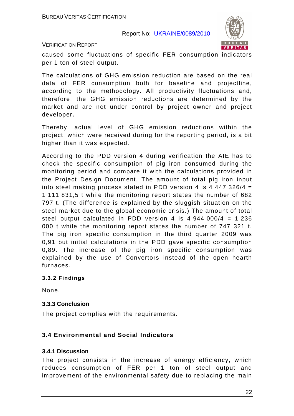

VERIFICATION REPORT

caused some fluctuations of specific FER consumption indicators per 1 ton of steel output.

The calculations of GHG emission reduction are based on the real data of FER consumption both for baseline and projectline, according to the methodology. All productivity fluctuations and, therefore, the GHG emission reductions are determined by the market and are not under control by project owner and project developer**.** 

Thereby, actual level of GHG emission reductions within the project, which were received during for the reporting period, is a bit higher than it was expected.

According to the PDD version 4 during verification the AIE has to check the specific consumption of pig iron consumed during the monitoring period and compare it with the calculations provided in the Project Design Document. The amount of total pig iron input into steel making process stated in PDD version 4 is 4 447 326/4 = 1 111 831,5 t while the monitoring report states the number of 682 797 t. (The difference is explained by the sluggish situation on the steel market due to the global economic crisis.) The amount of total steel output calculated in PDD version 4 is  $4\,944\,000/4 = 1\,236$ 000 t while the monitoring report states the number of 747 321 t. The pig iron specific consumption in the third quarter 2009 was 0,91 but initial calculations in the PDD gave specific consumption 0,89. The increase of the pig iron specific consumption was explained by the use of Convertors instead of the open hearth furnaces.

#### **3.3.2 Findings**

None.

# **3.3.3 Conclusion**

The project complies with the requirements.

# **3.4 Environmental and Social Indicators**

# **3.4.1 Discussion**

The project consists in the increase of energy efficiency, which reduces consumption of FER per 1 ton of steel output and improvement of the environmental safety due to replacing the main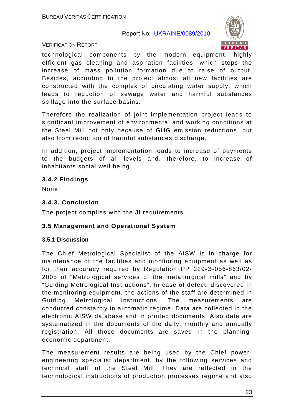

VERIFICATION REPORT

technological components by the modern equipment, highly efficient gas cleaning and aspiration facilities, which stops the increase of mass pollution formation due to raise of output. Besides, according to the project almost all new facilities are constructed with the complex of circulating water supply, which leads to reduction of sewage water and harmful substances spillage into the surface basins.

Therefore the realization of joint implementation project leads to significant improvement of environmental and working conditions at the Steel Mill not only because of GHG emission reductions, but also from reduction of harmful substances discharge.

In addition, project implementation leads to increase of payments to the budgets of all levels and, therefore, to increase of inhabitants social well being.

#### **3.4.2 Findings**

None

# **3.4.3. Conclusion**

The project complies with the JI requirements.

# **3.5 Management and Operational System**

#### **3.5.1 Discussion**

The Chief Metrological Specialist of the AISW is in charge for maintenance of the facilities and monitoring equipment as well as for their accuracy required by Regulation PP 229-Э-056-863/02- 2005 of "Metrological services of the metallurgical mills" and by "Guiding Metrological Instructions". In case of defect, discovered in the monitoring equipment, the actions of the staff are determined in Guiding Metrological Instructions. The measurements are conducted constantly in automatic regime. Data are collected in the electronic AISW database and in printed documents. Also data are systematized in the documents of the daily, monthly and annually registration. All those documents are saved in the planningeconomic department.

The measurement results are being used by the Chief powerengineering specialist department, by the following services and technical staff of the Steel Mill. They are reflected in the technological instructions of production processes regime and also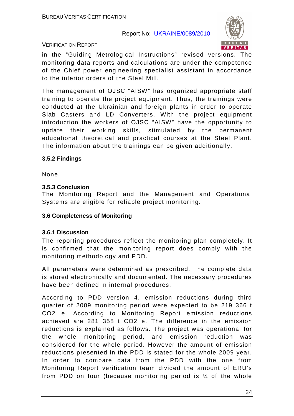

VERIFICATION REPORT

in the "Guiding Metrological Instructions" revised versions. The monitoring data reports and calculations are under the competence of the Chief power engineering specialist assistant in accordance to the interior orders of the Steel Mill.

The management of OJSC "AISW" has organized appropriate staff training to operate the project equipment. Thus, the trainings were conducted at the Ukrainian and foreign plants in order to operate Slab Casters and LD Converters. With the project equipment introduction the workers of OJSC "AISW" have the opportunity to update their working skills, stimulated by the permanent educational theoretical and practical courses at the Steel Plant. The information about the trainings can be given additionally.

# **3.5.2 Findings**

None.

# **3.5.3 Conclusion**

The Monitoring Report and the Management and Operational Systems are eligible for reliable project monitoring.

# **3.6 Completeness of Monitoring**

# **3.6.1 Discussion**

The reporting procedures reflect the monitoring plan completely. It is confirmed that the monitoring report does comply with the monitoring methodology and PDD.

All parameters were determined as prescribed. The complete data is stored electronically and documented. The necessary procedures have been defined in internal procedures.

According to PDD version 4, emission reductions during third quarter of 2009 monitoring period were expected to be 219 366 t CO2 e. According to Monitoring Report emission reductions achieved are 281 358 t CO2 e. The difference in the emission reductions is explained as follows. The project was operational for the whole monitoring period, and emission reduction was considered for the whole period. However the amount of emission reductions presented in the PDD is stated for the whole 2009 year. In order to compare data from the PDD with the one from Monitoring Report verification team divided the amount of ERU's from PDD on four (because monitoring period is ¼ of the whole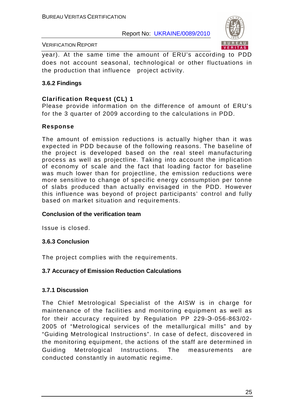

#### VERIFICATION REPORT

year). At the same time the amount of ERU's according to PDD does not account seasonal, technological or other fluctuations in the production that influence project activity.

#### **3.6.2 Findings**

#### **Clarification Request (CL) 1**

Please provide information on the difference of amount of ERU's for the 3 quarter of 2009 according to the calculations in PDD.

#### **Response**

The amount of emission reductions is actually higher than it was expected in PDD because of the following reasons. The baseline of the project is developed based on the real steel manufacturing process as well as projectline. Taking into account the implication of economy of scale and the fact that loading factor for baseline was much lower than for projectline, the emission reductions were more sensitive to change of specific energy consumption per tonne of slabs produced than actually envisaged in the PDD. However this influence was beyond of project participants' control and fully based on market situation and requirements.

#### **Conclusion of the verification team**

Issue is closed.

#### **3.6.3 Conclusion**

The project complies with the requirements.

#### **3.7 Accuracy of Emission Reduction Calculations**

#### **3.7.1 Discussion**

The Chief Metrological Specialist of the AISW is in charge for maintenance of the facilities and monitoring equipment as well as for their accuracy required by Regulation PP 229-Э-056-863/02- 2005 of "Metrological services of the metallurgical mills" and by "Guiding Metrological Instructions". In case of defect, discovered in the monitoring equipment, the actions of the staff are determined in Guiding Metrological Instructions. The measurements are conducted constantly in automatic regime.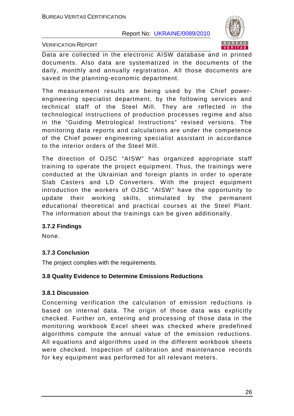

VERIFICATION REPORT

Data are collected in the electronic AISW database and in printed documents. Also data are systematized in the documents of the daily, monthly and annually registration. All those documents are saved in the planning-economic department.

The measurement results are being used by the Chief powerengineering specialist department, by the following services and technical staff of the Steel Mill. They are reflected in the technological instructions of production processes regime and also in the "Guiding Metrological Instructions" revised versions. The monitoring data reports and calculations are under the competence of the Chief power engineering specialist assistant in accordance to the interior orders of the Steel Mill.

The direction of OJSC "AISW" has organized appropriate staff training to operate the project equipment. Thus, the trainings were conducted at the Ukrainian and foreign plants in order to operate Slab Casters and LD Converters. With the project equipment introduction the workers of OJSC "AISW" have the opportunity to update their working skills, stimulated by the permanent educational theoretical and practical courses at the Steel Plant. The information about the trainings can be given additionally.

# **3.7.2 Findings**

None.

# **3.7.3 Conclusion**

The project complies with the requirements.

# **3.8 Quality Evidence to Determine Emissions Reductions**

# **3.8.1 Discussion**

Concerning verification the calculation of emission reductions is based on internal data. The origin of those data was explicitly checked. Further on, entering and processing of those data in the monitoring workbook Excel sheet was checked where predefined algorithms compute the annual value of the emission reductions. All equations and algorithms used in the different workbook sheets were checked. Inspection of calibration and maintenance records for key equipment was performed for all relevant meters.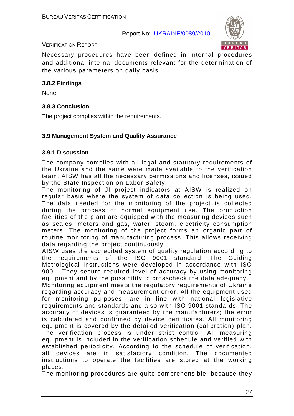

#### VERIFICATION REPORT

Necessary procedures have been defined in internal procedures and additional internal documents relevant for the determination of the various parameters on daily basis.

#### **3.8.2 Findings**

None.

#### **3.8.3 Conclusion**

The project complies within the requirements.

#### **3.9 Management System and Quality Assurance**

#### **3.9.1 Discussion**

The company complies with all legal and statutory requirements of the Ukraine and the same were made available to the verification team. AISW has all the necessary permissions and licenses, issued by the State Inspection on Labor Safety.

The monitoring of JI project indicators at AISW is realized on regular basis where the system of data collection is being used. The data needed for the monitoring of the project is collected during the process of normal equipment use. The production facilities of the plant are equipped with the measuring devices such as scales, meters and gas, water, steam, electricity consumption meters. The monitoring of the project forms an organic part of routine monitoring of manufacturing process. This allows receiving data regarding the project continuously.

AISW uses the accredited system of quality regulation according to the requirements of the ISO 9001 standard. The Guiding Metrological Instructions were developed in accordance with ISO 9001. They secure required level of accuracy by using monitoring equipment and by the possibility to crosscheck the data adequacy.

Monitoring equipment meets the regulatory requirements of Ukraine regarding accuracy and measurement error. All the equipment used for monitoring purposes, are in line with national legislative requirements and standards and also with ISO 9001 standards. The accuracy of devices is guaranteed by the manufacturers; the error is calculated and confirmed by device certificates. All monitoring equipment is covered by the detailed verification (calibration) plan. The verification process is under strict control. All measuring equipment is included in the verification schedule and verified with established periodicity. According to the schedule of verification, all devices are in satisfactory condition. The documented instructions to operate the facilities are stored at the working places.

The monitoring procedures are quite comprehensible, because they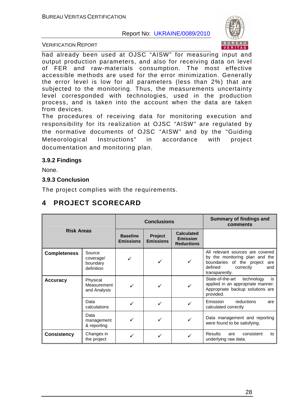

VERIFICATION REPORT

had already been used at OJSC "AISW" for measuring input and output production parameters, and also for receiving data on level of FER and raw-materials consumption. The most effective accessible methods are used for the error minimization. Generally the error level is low for all parameters (less than 2%) that are subjected to the monitoring. Thus, the measurements uncertainty level corresponded with technologies, used in the production process, and is taken into the account when the data are taken from devices.

The procedures of receiving data for monitoring execution and responsibility for its realization at OJSC "AISW" are regulated by the normative documents of OJSC "AISW" and by the "Guiding Meteorological Instructions" in accordance with project documentation and monitoring plan.

#### **3.9.2 Findings**

None.

#### **3.9.3 Conclusion**

The project complies with the requirements.

# **4 PROJECT SCORECARD**

| <b>Risk Areas</b>   |                                               |                                     | <b>Conclusions</b>                 |                                                           | <b>Summary of findings and</b><br>comments                                                                                                              |
|---------------------|-----------------------------------------------|-------------------------------------|------------------------------------|-----------------------------------------------------------|---------------------------------------------------------------------------------------------------------------------------------------------------------|
|                     |                                               | <b>Baseline</b><br><b>Emissions</b> | <b>Project</b><br><b>Emissions</b> | <b>Calculated</b><br><b>Emission</b><br><b>Reductions</b> |                                                                                                                                                         |
| <b>Completeness</b> | Source<br>coverage/<br>boundary<br>definition |                                     |                                    | $\checkmark$                                              | All relevant sources are covered<br>by the monitoring plan and the<br>boundaries of the project<br>are<br>defined<br>correctly<br>and<br>transparently. |
| <b>Accuracy</b>     | Physical<br>Measurement<br>and Analysis       |                                     |                                    |                                                           | State-of-the-art<br>technology<br>is<br>applied in an appropriate manner.<br>Appropriate backup solutions are<br>provided.                              |
|                     | Data<br>calculations                          |                                     |                                    |                                                           | Emission<br>reductions<br>are<br>calculated correctly                                                                                                   |
|                     | Data<br>management<br>& reporting             |                                     |                                    |                                                           | Data management and reporting<br>were found to be satisfying.                                                                                           |
| <b>Consistency</b>  | Changes in<br>the project                     |                                     |                                    |                                                           | <b>Results</b><br>consistent<br>are<br>to<br>underlying raw data.                                                                                       |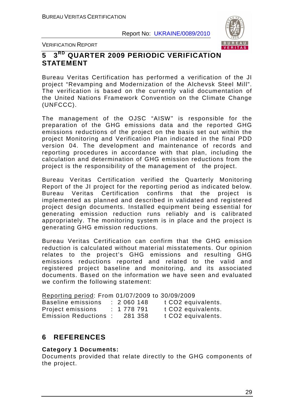

VERIFICATION REPORT

# **5 3RD QUARTER 2009 PERIODIC VERIFICATION STATEMENT**

Bureau Veritas Certification has performed a verification of the JI project "Revamping and Modernization of the Alchevsk Steel Mill". The verification is based on the currently valid documentation of the United Nations Framework Convention on the Climate Change (UNFCCC).

The management of the OJSC "AISW" is responsible for the preparation of the GHG emissions data and the reported GHG emissions reductions of the project on the basis set out within the project Monitoring and Verification Plan indicated in the final PDD version 04. The development and maintenance of records and reporting procedures in accordance with that plan, including the calculation and determination of GHG emission reductions from the project is the responsibility of the management of the project.

Bureau Veritas Certification verified the Quarterly Monitoring Report of the JI project for the reporting period as indicated below. Bureau Veritas Certification confirms that the project is implemented as planned and described in validated and registered project design documents. Installed equipment being essential for generating emission reduction runs reliably and is calibrated appropriately. The monitoring system is in place and the project is generating GHG emission reductions.

Bureau Veritas Certification can confirm that the GHG emission reduction is calculated without material misstatements. Our opinion relates to the project's GHG emissions and resulting GHG emissions reductions reported and related to the valid and registered project baseline and monitoring, and its associated documents. Based on the information we have seen and evaluated we confirm the following statement:

Reporting period: From 01/07/2009 to 30/09/2009

| Baseline emissions         | : 2060148 | t CO2 equivalents.             |
|----------------------------|-----------|--------------------------------|
| Project emissions          | : 1778791 | t CO <sub>2</sub> equivalents. |
| <b>Emission Reductions</b> | 281 358   | t CO <sub>2</sub> equivalents. |

# **6 REFERENCES**

#### **Category 1 Documents:**

Documents provided that relate directly to the GHG components of the project.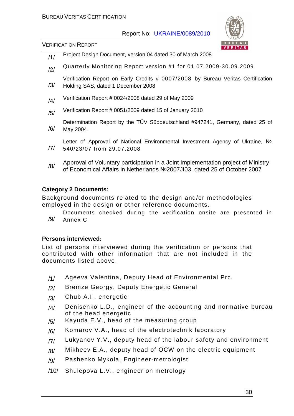

VERIFICATION REPORT

- /1/ Project Design Document, version 04 dated 30 of March 2008
- $/2/$  Quarterly Monitoring Report version #1 for 01.07.2009-30.09.2009

/3/ Verification Report on Early Credits # 0007/2008 by Bureau Veritas Certification Holding SAS, dated 1 December 2008

- $\frac{1}{4}$  Verification Report # 0024/2008 dated 29 of May 2009
- / $5/$  Verification Report # 0051/2009 dated 15 of January 2010

Determination Report by the TÜV Süddeutschland #947241, Germany, dated 25 of

/6/ May 2004

/7/ Letter of Approval of National Environmental Investment Agency of Ukraine, № 540/23/07 from 29.07.2008

/8/ Approval of Voluntary participation in a Joint Implementation project of Ministry of Economical Affairs in Netherlands №2007JI03, dated 25 of October 2007

#### **Category 2 Documents:**

Background documents related to the design and/or methodologies employed in the design or other reference documents.

/9/ Documents checked during the verification onsite are presented in Annex C

#### **Persons interviewed:**

List of persons interviewed during the verification or persons that contributed with other information that are not included in the documents listed above.

- /1/ Ageeva Valentina, Deputy Head of Environmental Prc.
- /2/ Bremze Georgy, Deputy Energetic General
- /3/ Chub A.I., energetic
- $\frac{1}{4}$  Denisenko L.D., engineer of the accounting and normative bureau of the head energetic
- $/5/$  Kayuda E.V., head of the measuring group
- /6/ Komarov V.A., head of the electrotechnik laboratory
- /7/ Lukyanov Y.V., deputy head of the labour safety and environment
- $/8/$  Mikheev E.A., deputy head of OCW on the electric equipment
- /9/ Pashenko Mykola, Engineer-metrologist
- /10/ Shulepova L.V., engineer on metrology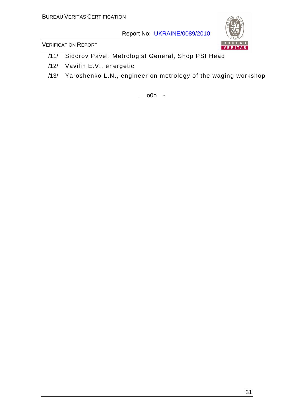

VERIFICATION REPORT

- /11/ Sidorov Pavel, Metrologist General, Shop PSI Head
- /12/ Vavilin E.V., energetic
- /13/ Yaroshenko L.N., engineer on metrology of the waging workshop

- o0o -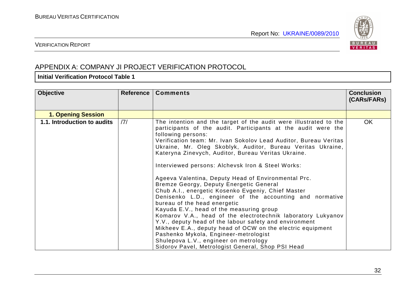

### VERIFICATION REPORT

# APPENDIX A: COMPANY JI PROJECT VERIFICATION PROTOCOL

# **Initial Verification Protocol Table 1**

| <b>Objective</b>            | <b>Reference</b> | <b>Comments</b>                                                                                                                                                                                                                                                                                                                                                                                                                                                                                                                                                                                                                                                                                                                                                                                                                                                                                                                                                                                                                        | <b>Conclusion</b><br>(CARS/FARS) |
|-----------------------------|------------------|----------------------------------------------------------------------------------------------------------------------------------------------------------------------------------------------------------------------------------------------------------------------------------------------------------------------------------------------------------------------------------------------------------------------------------------------------------------------------------------------------------------------------------------------------------------------------------------------------------------------------------------------------------------------------------------------------------------------------------------------------------------------------------------------------------------------------------------------------------------------------------------------------------------------------------------------------------------------------------------------------------------------------------------|----------------------------------|
| <b>1. Opening Session</b>   |                  |                                                                                                                                                                                                                                                                                                                                                                                                                                                                                                                                                                                                                                                                                                                                                                                                                                                                                                                                                                                                                                        |                                  |
| 1.1. Introduction to audits | 7                | The intention and the target of the audit were illustrated to the<br>participants of the audit. Participants at the audit were the<br>following persons:<br>Verification team: Mr. Ivan Sokolov Lead Auditor, Bureau Veritas<br>Ukraine, Mr. Oleg Skoblyk, Auditor, Bureau Veritas Ukraine,<br>Kateryna Zinevych, Auditor, Bureau Veritas Ukraine.<br>Interviewed persons: Alchevsk Iron & Steel Works:<br>Ageeva Valentina, Deputy Head of Environmental Prc.<br>Bremze Georgy, Deputy Energetic General<br>Chub A.I., energetic Kosenko Evgeniy, Chief Master<br>Denisenko L.D., engineer of the accounting and normative<br>bureau of the head energetic<br>Kayuda E.V., head of the measuring group<br>Komarov V.A., head of the electrotechnik laboratory Lukyanov<br>Y.V., deputy head of the labour safety and environment<br>Mikheev E.A., deputy head of OCW on the electric equipment<br>Pashenko Mykola, Engineer-metrologist<br>Shulepova L.V., engineer on metrology<br>Sidorov Pavel, Metrologist General, Shop PSI Head | <b>OK</b>                        |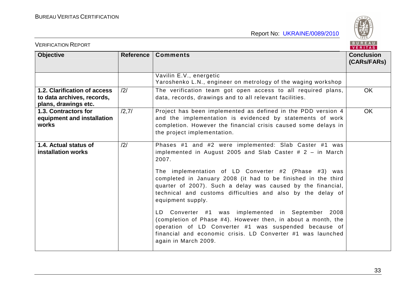

| <b>VERIFICATION REPORT</b>                                                         |                  |                                                                                                                                                                                                                                                                                                                                                                                                                                                                                                                                                                                                                                                                                 | BUREAU<br><b>VERITAS</b>         |
|------------------------------------------------------------------------------------|------------------|---------------------------------------------------------------------------------------------------------------------------------------------------------------------------------------------------------------------------------------------------------------------------------------------------------------------------------------------------------------------------------------------------------------------------------------------------------------------------------------------------------------------------------------------------------------------------------------------------------------------------------------------------------------------------------|----------------------------------|
| <b>Objective</b>                                                                   | <b>Reference</b> | <b>Comments</b>                                                                                                                                                                                                                                                                                                                                                                                                                                                                                                                                                                                                                                                                 | <b>Conclusion</b><br>(CARs/FARs) |
|                                                                                    |                  | Vavilin E.V., energetic<br>Yaroshenko L.N., engineer on metrology of the waging workshop                                                                                                                                                                                                                                                                                                                                                                                                                                                                                                                                                                                        |                                  |
| 1.2. Clarification of access<br>to data archives, records,<br>plans, drawings etc. | $\frac{12}{1}$   | The verification team got open access to all required plans,<br>data, records, drawings and to all relevant facilities.                                                                                                                                                                                                                                                                                                                                                                                                                                                                                                                                                         | <b>OK</b>                        |
| 1.3. Contractors for<br>equipment and installation<br>works                        | /2,7/            | Project has been implemented as defined in the PDD version 4<br>and the implementation is evidenced by statements of work<br>completion. However the financial crisis caused some delays in<br>the project implementation.                                                                                                                                                                                                                                                                                                                                                                                                                                                      | <b>OK</b>                        |
| 1.4. Actual status of<br>installation works                                        | /2/              | Phases #1 and #2 were implemented: Slab Caster #1 was<br>implemented in August 2005 and Slab Caster $# 2 - in$ March<br>2007.<br>The implementation of LD Converter #2 (Phase #3) was<br>completed in January 2008 (it had to be finished in the third<br>quarter of 2007). Such a delay was caused by the financial,<br>technical and customs difficulties and also by the delay of<br>equipment supply.<br>LD Converter #1 was implemented in September 2008<br>(completion of Phase #4). However then, in about a month, the<br>operation of LD Converter #1 was suspended because of<br>financial and economic crisis. LD Converter #1 was launched<br>again in March 2009. |                                  |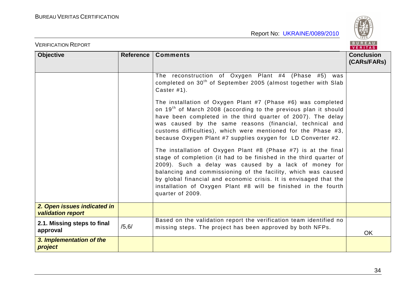

| <b>VERIFICATION REPORT</b>                              |                  |                                                                                                                                                                                                                                                                                                                                                                                                                                                                                                                                                                  | BUREAU<br>VERITAS                |
|---------------------------------------------------------|------------------|------------------------------------------------------------------------------------------------------------------------------------------------------------------------------------------------------------------------------------------------------------------------------------------------------------------------------------------------------------------------------------------------------------------------------------------------------------------------------------------------------------------------------------------------------------------|----------------------------------|
| <b>Objective</b>                                        | <b>Reference</b> | <b>Comments</b>                                                                                                                                                                                                                                                                                                                                                                                                                                                                                                                                                  | <b>Conclusion</b><br>(CARs/FARs) |
|                                                         |                  | The reconstruction of Oxygen Plant #4 (Phase #5)<br>was<br>completed on 30 <sup>th</sup> of September 2005 (almost together with Slab<br>Caster #1).<br>The installation of Oxygen Plant #7 (Phase #6) was completed<br>on 19 <sup>th</sup> of March 2008 (according to the previous plan it should<br>have been completed in the third quarter of 2007). The delay<br>was caused by the same reasons (financial, technical and<br>customs difficulties), which were mentioned for the Phase #3,<br>because Oxygen Plant #7 supplies oxygen for LD Converter #2. |                                  |
|                                                         |                  | The installation of Oxygen Plant #8 (Phase #7) is at the final<br>stage of completion (it had to be finished in the third quarter of<br>2009). Such a delay was caused by a lack of money for<br>balancing and commissioning of the facility, which was caused<br>by global financial and economic crisis. It is envisaged that the<br>installation of Oxygen Plant #8 will be finished in the fourth<br>quarter of 2009.                                                                                                                                        |                                  |
| 2. Open issues indicated in<br><b>validation report</b> |                  |                                                                                                                                                                                                                                                                                                                                                                                                                                                                                                                                                                  |                                  |
| 2.1. Missing steps to final<br>approval                 | /5, 6/           | Based on the validation report the verification team identified no<br>missing steps. The project has been approved by both NFPs.                                                                                                                                                                                                                                                                                                                                                                                                                                 | <b>OK</b>                        |
| 3. Implementation of the<br>project                     |                  |                                                                                                                                                                                                                                                                                                                                                                                                                                                                                                                                                                  |                                  |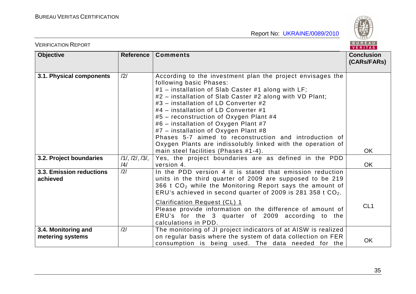j.

|                              | <b>Conclusio</b>                |
|------------------------------|---------------------------------|
|                              | <b>BUREAU</b><br><b>VERITAS</b> |
| Report No: UKRAINE/0089/2010 |                                 |

| <b>VERIFICATION REPORT</b>              |                      |                                                                                                                                                                                                                                                                                                                                                                                                                                                                                                                                                                                    | BUREAU<br>VERITAS                |
|-----------------------------------------|----------------------|------------------------------------------------------------------------------------------------------------------------------------------------------------------------------------------------------------------------------------------------------------------------------------------------------------------------------------------------------------------------------------------------------------------------------------------------------------------------------------------------------------------------------------------------------------------------------------|----------------------------------|
| <b>Objective</b>                        | <b>Reference</b>     | <b>Comments</b>                                                                                                                                                                                                                                                                                                                                                                                                                                                                                                                                                                    | <b>Conclusion</b><br>(CARs/FARs) |
| 3.1. Physical components                | /2/                  | According to the investment plan the project envisages the<br>following basic Phases:<br>#1 - installation of Slab Caster #1 along with LF;<br>#2 - installation of Slab Caster #2 along with VD Plant;<br>#3 - installation of LD Converter #2<br>#4 - installation of LD Converter #1<br>#5 – reconstruction of Oxygen Plant #4<br>#6 - installation of Oxygen Plant #7<br>#7 - installation of Oxygen Plant #8<br>Phases 5-7 aimed to reconstruction and introduction of<br>Oxygen Plants are indissolubly linked with the operation of<br>main steel facilities (Phases #1-4). | <b>OK</b>                        |
| 3.2. Project boundaries                 | 11, 121, 131,<br>/4/ | Yes, the project boundaries are as defined in the PDD<br>version 4.                                                                                                                                                                                                                                                                                                                                                                                                                                                                                                                | <b>OK</b>                        |
| 3.3. Emission reductions<br>achieved    | /2/                  | In the PDD version 4 it is stated that emission reduction<br>units in the third quarter of 2009 are supposed to be 219<br>366 t CO <sub>2</sub> while the Monitoring Report says the amount of<br>ERU's achieved in second quarter of 2009 is 281 358 t $CO2$ .<br><b>Clarification Request (CL) 1</b><br>Please provide information on the difference of amount of<br>ERU's for the 3 quarter of 2009 according to the<br>calculations in PDD.                                                                                                                                    | CL <sub>1</sub>                  |
| 3.4. Monitoring and<br>metering systems | /2/                  | The monitoring of JI project indicators of at AISW is realized<br>on regular basis where the system of data collection on FER<br>consumption is being used. The data needed for the                                                                                                                                                                                                                                                                                                                                                                                                | <b>OK</b>                        |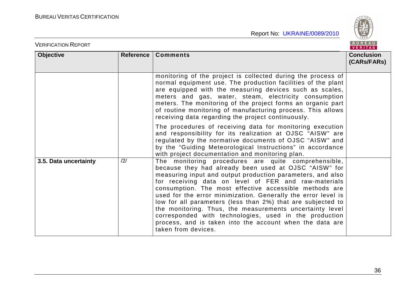

| <b>VERIFICATION REPORT</b> |           |                                                                                                                                                                                                                                                                                                                                                                                                                                                                                                                                                                                                                                       | BUREAU<br>VERITAS                |
|----------------------------|-----------|---------------------------------------------------------------------------------------------------------------------------------------------------------------------------------------------------------------------------------------------------------------------------------------------------------------------------------------------------------------------------------------------------------------------------------------------------------------------------------------------------------------------------------------------------------------------------------------------------------------------------------------|----------------------------------|
| <b>Objective</b>           | Reference | <b>Comments</b>                                                                                                                                                                                                                                                                                                                                                                                                                                                                                                                                                                                                                       | <b>Conclusion</b><br>(CARs/FARs) |
|                            |           | monitoring of the project is collected during the process of<br>normal equipment use. The production facilities of the plant<br>are equipped with the measuring devices such as scales,<br>meters and gas, water, steam, electricity consumption<br>meters. The monitoring of the project forms an organic part<br>of routine monitoring of manufacturing process. This allows<br>receiving data regarding the project continuously.                                                                                                                                                                                                  |                                  |
|                            |           | The procedures of receiving data for monitoring execution<br>and responsibility for its realization at OJSC "AISW" are<br>regulated by the normative documents of OJSC "AISW" and<br>by the "Guiding Meteorological Instructions" in accordance<br>with project documentation and monitoring plan.                                                                                                                                                                                                                                                                                                                                    |                                  |
| 3.5. Data uncertainty      | /2/       | The monitoring procedures are quite comprehensible,<br>because they had already been used at OJSC "AISW" for<br>measuring input and output production parameters, and also<br>for receiving data on level of FER and raw-materials<br>consumption. The most effective accessible methods are<br>used for the error minimization. Generally the error level is<br>low for all parameters (less than 2%) that are subjected to<br>the monitoring. Thus, the measurements uncertainty level<br>corresponded with technologies, used in the production<br>process, and is taken into the account when the data are<br>taken from devices. |                                  |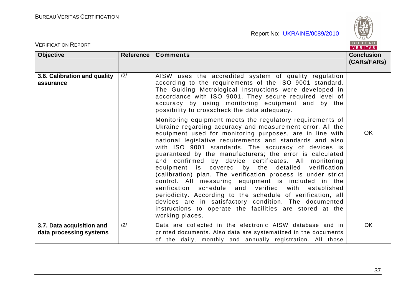

| <b>VERIFICATION REPORT</b>                           |           |                                                                                                                                                                                                                                                                                                                                                                                                                                                                                                                                                                                                                                                                                                                                                                                                                                                                           | BUREAU<br>VERITAS                |
|------------------------------------------------------|-----------|---------------------------------------------------------------------------------------------------------------------------------------------------------------------------------------------------------------------------------------------------------------------------------------------------------------------------------------------------------------------------------------------------------------------------------------------------------------------------------------------------------------------------------------------------------------------------------------------------------------------------------------------------------------------------------------------------------------------------------------------------------------------------------------------------------------------------------------------------------------------------|----------------------------------|
| <b>Objective</b>                                     | Reference | <b>Comments</b>                                                                                                                                                                                                                                                                                                                                                                                                                                                                                                                                                                                                                                                                                                                                                                                                                                                           | <b>Conclusion</b><br>(CARs/FARs) |
| 3.6. Calibration and quality<br>assurance            | /2/       | AISW uses the accredited system of quality regulation<br>according to the requirements of the ISO 9001 standard.<br>The Guiding Metrological Instructions were developed in<br>accordance with ISO 9001. They secure required level of<br>accuracy by using monitoring equipment and by the<br>possibility to crosscheck the data adequacy.                                                                                                                                                                                                                                                                                                                                                                                                                                                                                                                               |                                  |
|                                                      |           | Monitoring equipment meets the regulatory requirements of<br>Ukraine regarding accuracy and measurement error. All the<br>equipment used for monitoring purposes, are in line with<br>national legislative requirements and standards and also<br>with ISO 9001 standards. The accuracy of devices is<br>guaranteed by the manufacturers; the error is calculated<br>and confirmed by device certificates. All monitoring<br>equipment is covered by the detailed verification<br>(calibration) plan. The verification process is under strict<br>control. All measuring equipment is included in the<br>verification schedule and verified<br>with<br>established<br>periodicity. According to the schedule of verification, all<br>devices are in satisfactory condition. The documented<br>instructions to operate the facilities are stored at the<br>working places. | <b>OK</b>                        |
| 3.7. Data acquisition and<br>data processing systems | /2/       | Data are collected in the electronic AISW database and in<br>printed documents. Also data are systematized in the documents<br>of the daily, monthly and annually registration. All those                                                                                                                                                                                                                                                                                                                                                                                                                                                                                                                                                                                                                                                                                 | OK                               |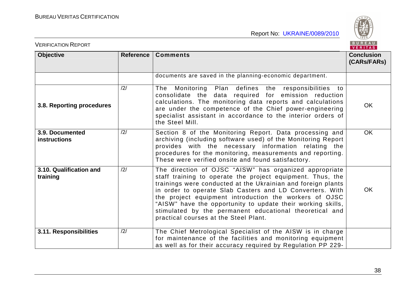

| <b>VERIFICATION REPORT</b>             |           |                                                                                                                                                                                                                                                                                                                                                                                                                                                                               | BUREAU<br><b>VERITAS</b>         |
|----------------------------------------|-----------|-------------------------------------------------------------------------------------------------------------------------------------------------------------------------------------------------------------------------------------------------------------------------------------------------------------------------------------------------------------------------------------------------------------------------------------------------------------------------------|----------------------------------|
| <b>Objective</b>                       | Reference | <b>Comments</b>                                                                                                                                                                                                                                                                                                                                                                                                                                                               | <b>Conclusion</b><br>(CARs/FARs) |
|                                        |           | documents are saved in the planning-economic department.                                                                                                                                                                                                                                                                                                                                                                                                                      |                                  |
| 3.8. Reporting procedures              | /2/       | Monitoring Plan defines the responsibilities to<br>The<br>consolidate the data required for emission reduction<br>calculations. The monitoring data reports and calculations<br>are under the competence of the Chief power-engineering<br>specialist assistant in accordance to the interior orders of<br>the Steel Mill.                                                                                                                                                    | <b>OK</b>                        |
| 3.9. Documented<br><b>instructions</b> | /2/       | Section 8 of the Monitoring Report. Data processing and<br>archiving (including software used) of the Monitoring Report<br>provides with the necessary information relating the<br>procedures for the monitoring, measurements and reporting.<br>These were verified onsite and found satisfactory.                                                                                                                                                                           | <b>OK</b>                        |
| 3.10. Qualification and<br>training    | /2/       | The direction of OJSC "AISW" has organized appropriate<br>staff training to operate the project equipment. Thus, the<br>trainings were conducted at the Ukrainian and foreign plants<br>in order to operate Slab Casters and LD Converters. With<br>the project equipment introduction the workers of OJSC<br>"AISW" have the opportunity to update their working skills,<br>stimulated by the permanent educational theoretical and<br>practical courses at the Steel Plant. | <b>OK</b>                        |
| 3.11. Responsibilities                 | /2/       | The Chief Metrological Specialist of the AISW is in charge<br>for maintenance of the facilities and monitoring equipment<br>as well as for their accuracy required by Regulation PP 229-                                                                                                                                                                                                                                                                                      |                                  |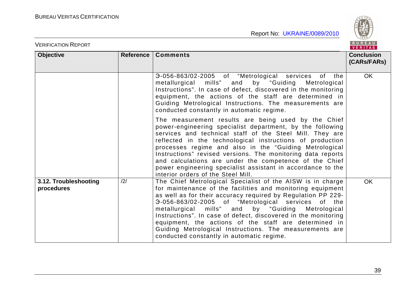

| <b>VERIFICATION REPORT</b>          |     |                                                                                                                                                                                                                                                                                                                                                                                                                                                                                                                                        | BUREAU<br>VERITAS                |
|-------------------------------------|-----|----------------------------------------------------------------------------------------------------------------------------------------------------------------------------------------------------------------------------------------------------------------------------------------------------------------------------------------------------------------------------------------------------------------------------------------------------------------------------------------------------------------------------------------|----------------------------------|
| <b>Objective</b>                    |     | Reference   Comments                                                                                                                                                                                                                                                                                                                                                                                                                                                                                                                   | <b>Conclusion</b><br>(CARs/FARs) |
|                                     |     | 3-056-863/02-2005 of "Metrological services of the<br>metallurgical mills" and by "Guiding Metrological<br>Instructions". In case of defect, discovered in the monitoring<br>equipment, the actions of the staff are determined in<br>Guiding Metrological Instructions. The measurements are<br>conducted constantly in automatic regime.                                                                                                                                                                                             | <b>OK</b>                        |
|                                     |     | The measurement results are being used by the Chief<br>power-engineering specialist department, by the following<br>services and technical staff of the Steel Mill. They are<br>reflected in the technological instructions of production<br>processes regime and also in the "Guiding Metrological<br>Instructions" revised versions. The monitoring data reports<br>and calculations are under the competence of the Chief<br>power engineering specialist assistant in accordance to the<br>interior orders of the Steel Mill.      |                                  |
| 3.12. Troubleshooting<br>procedures | /2/ | The Chief Metrological Specialist of the AISW is in charge<br>for maintenance of the facilities and monitoring equipment<br>as well as for their accuracy required by Regulation PP 229-<br>3-056-863/02-2005 of "Metrological services of the<br>metallurgical mills" and by "Guiding Metrological<br>Instructions". In case of defect, discovered in the monitoring<br>equipment, the actions of the staff are determined in<br>Guiding Metrological Instructions. The measurements are<br>conducted constantly in automatic regime. | <b>OK</b>                        |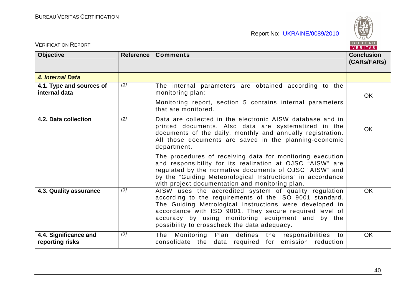

| <b>VERIFICATION REPORT</b>                |           |                                                                                                                                                                                                                                                                                                                                             | BUREAU<br><b>VERITAS</b>         |
|-------------------------------------------|-----------|---------------------------------------------------------------------------------------------------------------------------------------------------------------------------------------------------------------------------------------------------------------------------------------------------------------------------------------------|----------------------------------|
| <b>Objective</b>                          | Reference | <b>Comments</b>                                                                                                                                                                                                                                                                                                                             | <b>Conclusion</b><br>(CARs/FARs) |
| 4. Internal Data                          |           |                                                                                                                                                                                                                                                                                                                                             |                                  |
| 4.1. Type and sources of<br>internal data | /2/       | The internal parameters are obtained according to the<br>monitoring plan:                                                                                                                                                                                                                                                                   | <b>OK</b>                        |
|                                           |           | Monitoring report, section 5 contains internal parameters<br>that are monitored.                                                                                                                                                                                                                                                            |                                  |
| 4.2. Data collection                      | /2/       | Data are collected in the electronic AISW database and in<br>printed documents. Also data are systematized in the<br>documents of the daily, monthly and annually registration.<br>All those documents are saved in the planning-economic<br>department.                                                                                    | <b>OK</b>                        |
|                                           |           | The procedures of receiving data for monitoring execution<br>and responsibility for its realization at OJSC "AISW" are<br>regulated by the normative documents of OJSC "AISW" and<br>by the "Guiding Meteorological Instructions" in accordance<br>with project documentation and monitoring plan.                                          |                                  |
| 4.3. Quality assurance                    | /2/       | AISW uses the accredited system of quality regulation<br>according to the requirements of the ISO 9001 standard.<br>The Guiding Metrological Instructions were developed in<br>accordance with ISO 9001. They secure required level of<br>accuracy by using monitoring equipment and by the<br>possibility to crosscheck the data adequacy. | OK                               |
| 4.4. Significance and<br>reporting risks  | /2/       | The Monitoring Plan defines the responsibilities to<br>consolidate the data<br>required for emission reduction                                                                                                                                                                                                                              | <b>OK</b>                        |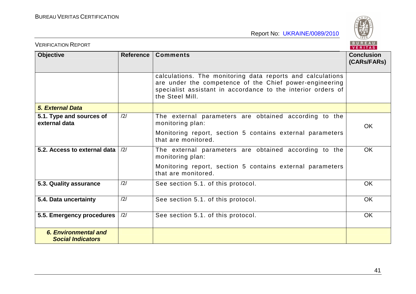

| <b>VERIFICATION REPORT</b>                              |                |                                                                                                                                                                                                          | BUREAU<br><b>VERITAS</b>         |
|---------------------------------------------------------|----------------|----------------------------------------------------------------------------------------------------------------------------------------------------------------------------------------------------------|----------------------------------|
| <b>Objective</b>                                        | Reference      | <b>Comments</b>                                                                                                                                                                                          | <b>Conclusion</b><br>(CARs/FARs) |
|                                                         |                | calculations. The monitoring data reports and calculations<br>are under the competence of the Chief power-engineering<br>specialist assistant in accordance to the interior orders of<br>the Steel Mill. |                                  |
| <b>5. External Data</b>                                 |                |                                                                                                                                                                                                          |                                  |
| 5.1. Type and sources of<br>external data               | /2/            | The external parameters are obtained according to the<br>monitoring plan:                                                                                                                                | <b>OK</b>                        |
|                                                         |                | Monitoring report, section 5 contains external parameters<br>that are monitored.                                                                                                                         |                                  |
| 5.2. Access to external data                            | $\frac{12}{1}$ | The external parameters are obtained according to the<br>monitoring plan:                                                                                                                                | OK                               |
|                                                         |                | Monitoring report, section 5 contains external parameters<br>that are monitored.                                                                                                                         |                                  |
| 5.3. Quality assurance                                  | /2/            | See section 5.1. of this protocol.                                                                                                                                                                       | <b>OK</b>                        |
| 5.4. Data uncertainty                                   | /2/            | See section 5.1. of this protocol.                                                                                                                                                                       | <b>OK</b>                        |
| 5.5. Emergency procedures                               | /2/            | See section 5.1. of this protocol.                                                                                                                                                                       | <b>OK</b>                        |
| <b>6. Environmental and</b><br><b>Social Indicators</b> |                |                                                                                                                                                                                                          |                                  |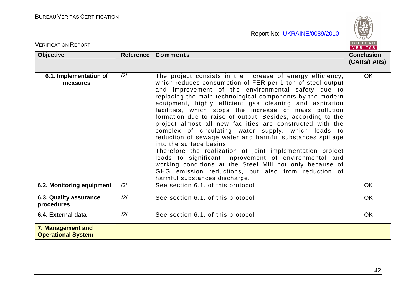

| <b>VERIFICATION REPORT</b>                     |           |                                                                                                                                                                                                                                                                                                                                                                                                                                                                                                                                                                                                                                                                                                                                                                                                                                                                                                                         | BUREAU<br>VERITAS                |
|------------------------------------------------|-----------|-------------------------------------------------------------------------------------------------------------------------------------------------------------------------------------------------------------------------------------------------------------------------------------------------------------------------------------------------------------------------------------------------------------------------------------------------------------------------------------------------------------------------------------------------------------------------------------------------------------------------------------------------------------------------------------------------------------------------------------------------------------------------------------------------------------------------------------------------------------------------------------------------------------------------|----------------------------------|
| <b>Objective</b>                               | Reference | <b>Comments</b>                                                                                                                                                                                                                                                                                                                                                                                                                                                                                                                                                                                                                                                                                                                                                                                                                                                                                                         | <b>Conclusion</b><br>(CARs/FARs) |
| 6.1. Implementation of<br>measures             | /2/       | The project consists in the increase of energy efficiency,<br>which reduces consumption of FER per 1 ton of steel output<br>and improvement of the environmental safety due to<br>replacing the main technological components by the modern<br>equipment, highly efficient gas cleaning and aspiration<br>facilities, which stops the increase of mass pollution<br>formation due to raise of output. Besides, according to the<br>project almost all new facilities are constructed with the<br>complex of circulating water supply, which leads to<br>reduction of sewage water and harmful substances spillage<br>into the surface basins.<br>Therefore the realization of joint implementation project<br>leads to significant improvement of environmental and<br>working conditions at the Steel Mill not only because of<br>GHG emission reductions, but also from reduction of<br>harmful substances discharge. | <b>OK</b>                        |
| 6.2. Monitoring equipment                      | /2/       | See section 6.1. of this protocol                                                                                                                                                                                                                                                                                                                                                                                                                                                                                                                                                                                                                                                                                                                                                                                                                                                                                       | <b>OK</b>                        |
| 6.3. Quality assurance<br>procedures           | /2/       | See section 6.1. of this protocol                                                                                                                                                                                                                                                                                                                                                                                                                                                                                                                                                                                                                                                                                                                                                                                                                                                                                       | OK                               |
| 6.4. External data                             | /2/       | See section 6.1. of this protocol                                                                                                                                                                                                                                                                                                                                                                                                                                                                                                                                                                                                                                                                                                                                                                                                                                                                                       | <b>OK</b>                        |
| 7. Management and<br><b>Operational System</b> |           |                                                                                                                                                                                                                                                                                                                                                                                                                                                                                                                                                                                                                                                                                                                                                                                                                                                                                                                         |                                  |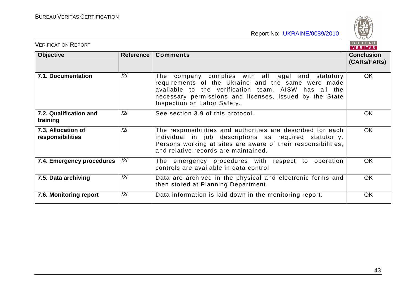

| <b>VERIFICATION REPORT</b>             |           |                                                                                                                                                                                                                                                           | BUREAU<br>VERITAS                |
|----------------------------------------|-----------|-----------------------------------------------------------------------------------------------------------------------------------------------------------------------------------------------------------------------------------------------------------|----------------------------------|
| <b>Objective</b>                       | Reference | <b>Comments</b>                                                                                                                                                                                                                                           | <b>Conclusion</b><br>(CARs/FARs) |
| 7.1. Documentation                     | /2/       | The company complies with all legal and statutory<br>requirements of the Ukraine and the same were made<br>available to the verification team. AISW has all the<br>necessary permissions and licenses, issued by the State<br>Inspection on Labor Safety. | <b>OK</b>                        |
| 7.2. Qualification and<br>training     | /2/       | See section 3.9 of this protocol.                                                                                                                                                                                                                         | <b>OK</b>                        |
| 7.3. Allocation of<br>responsibilities | /2/       | The responsibilities and authorities are described for each<br>individual in job descriptions as required statutorily.<br>Persons working at sites are aware of their responsibilities,<br>and relative records are maintained.                           | <b>OK</b>                        |
| 7.4. Emergency procedures              | /2/       | The emergency procedures with respect to operation<br>controls are available in data control                                                                                                                                                              | OK                               |
| 7.5. Data archiving                    | /2/       | Data are archived in the physical and electronic forms and<br>then stored at Planning Department.                                                                                                                                                         | <b>OK</b>                        |
| 7.6. Monitoring report                 | /2/       | Data information is laid down in the monitoring report.                                                                                                                                                                                                   | OK                               |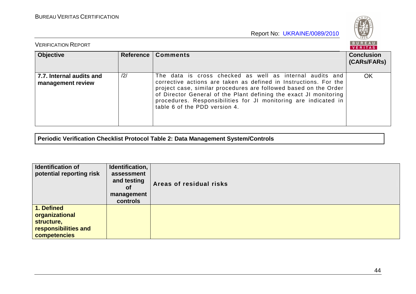

| <b>VERIFICATION REPORT</b>                    |                |                                                                                                                                                                                                                                                                                                                                                                           | BUREAU<br>VERITAS                |
|-----------------------------------------------|----------------|---------------------------------------------------------------------------------------------------------------------------------------------------------------------------------------------------------------------------------------------------------------------------------------------------------------------------------------------------------------------------|----------------------------------|
| <b>Objective</b>                              | Reference      | <b>Comments</b>                                                                                                                                                                                                                                                                                                                                                           | <b>Conclusion</b><br>(CARS/FARS) |
| 7.7. Internal audits and<br>management review | $\frac{12}{1}$ | The data is cross checked as well as internal audits and<br>corrective actions are taken as defined in Instructions. For the<br>project case, similar procedures are followed based on the Order<br>of Director General of the Plant defining the exact JI monitoring<br>procedures. Responsibilities for JI monitoring are indicated in<br>table 6 of the PDD version 4. | OK                               |

**Periodic Verification Checklist Protocol Table 2: Data Management System/Controls** 

| <b>Identification of</b><br>potential reporting risk | Identification,<br>assessment |                         |
|------------------------------------------------------|-------------------------------|-------------------------|
|                                                      | and testing<br><b>of</b>      | Areas of residual risks |
|                                                      | management                    |                         |
|                                                      | controls                      |                         |
| 1. Defined                                           |                               |                         |
| organizational                                       |                               |                         |
| structure,                                           |                               |                         |
| responsibilities and                                 |                               |                         |
| competencies                                         |                               |                         |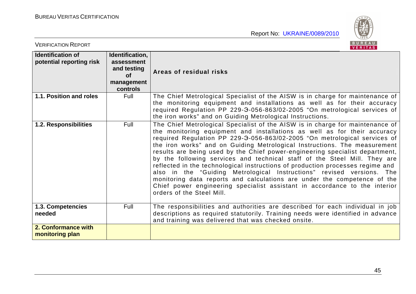

| <b>VERIFICATION REPORT</b>                           |                                                                              | BUREAU<br>VERITAS                                                                                                                                                                                                                                                                                                                                                                                                                                                                                                                                                                                                                                                                                                                                                                                                                  |
|------------------------------------------------------|------------------------------------------------------------------------------|------------------------------------------------------------------------------------------------------------------------------------------------------------------------------------------------------------------------------------------------------------------------------------------------------------------------------------------------------------------------------------------------------------------------------------------------------------------------------------------------------------------------------------------------------------------------------------------------------------------------------------------------------------------------------------------------------------------------------------------------------------------------------------------------------------------------------------|
| <b>Identification of</b><br>potential reporting risk | Identification,<br>assessment<br>and testing<br>of<br>management<br>controls | Areas of residual risks                                                                                                                                                                                                                                                                                                                                                                                                                                                                                                                                                                                                                                                                                                                                                                                                            |
| 1.1. Position and roles                              | Full                                                                         | The Chief Metrological Specialist of the AISW is in charge for maintenance of<br>the monitoring equipment and installations as well as for their accuracy<br>required Regulation PP 229-3-056-863/02-2005 "On metrological services of<br>the iron works" and on Guiding Metrological Instructions.                                                                                                                                                                                                                                                                                                                                                                                                                                                                                                                                |
| 1.2. Responsibilities                                | Full                                                                         | The Chief Metrological Specialist of the AISW is in charge for maintenance of<br>the monitoring equipment and installations as well as for their accuracy<br>required Regulation PP 229-3-056-863/02-2005 "On metrological services of<br>the iron works" and on Guiding Metrological Instructions. The measurement<br>results are being used by the Chief power-engineering specialist department,<br>by the following services and technical staff of the Steel Mill. They are<br>reflected in the technological instructions of production processes regime and<br>also in the "Guiding Metrological Instructions" revised versions. The<br>monitoring data reports and calculations are under the competence of the<br>Chief power engineering specialist assistant in accordance to the interior<br>orders of the Steel Mill. |
| 1.3. Competencies<br>needed                          | Full                                                                         | The responsibilities and authorities are described for each individual in job<br>descriptions as required statutorily. Training needs were identified in advance<br>and training was delivered that was checked onsite.                                                                                                                                                                                                                                                                                                                                                                                                                                                                                                                                                                                                            |
| 2. Conformance with<br>monitoring plan               |                                                                              |                                                                                                                                                                                                                                                                                                                                                                                                                                                                                                                                                                                                                                                                                                                                                                                                                                    |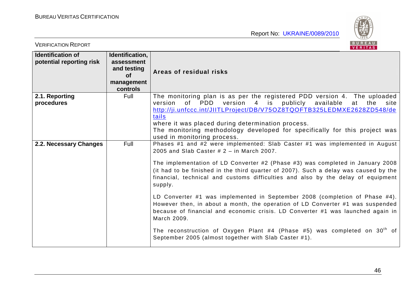

| <b>VERIFICATION REPORT</b>                           |                                                                                     | BUREAU<br><b>VERITAS</b>                                                                                                                                                                                                                                                                                                                                                                                                                                                                                                                                                                                                                                                                                                                                                                                       |
|------------------------------------------------------|-------------------------------------------------------------------------------------|----------------------------------------------------------------------------------------------------------------------------------------------------------------------------------------------------------------------------------------------------------------------------------------------------------------------------------------------------------------------------------------------------------------------------------------------------------------------------------------------------------------------------------------------------------------------------------------------------------------------------------------------------------------------------------------------------------------------------------------------------------------------------------------------------------------|
| <b>Identification of</b><br>potential reporting risk | Identification,<br>assessment<br>and testing<br><b>of</b><br>management<br>controls | Areas of residual risks                                                                                                                                                                                                                                                                                                                                                                                                                                                                                                                                                                                                                                                                                                                                                                                        |
| 2.1. Reporting<br>procedures                         | Full                                                                                | The monitoring plan is as per the registered PDD version 4. The uploaded<br>of PDD version 4 is publicly available<br>version<br>at<br>the<br>site<br>http://ji.unfccc.int/JIITLProject/DB/V75OZ8TQOFTB325LEDMXE2628ZD548/de<br>tails<br>where it was placed during determination process.<br>The monitoring methodology developed for specifically for this project was<br>used in monitoring process.                                                                                                                                                                                                                                                                                                                                                                                                        |
| 2.2. Necessary Changes                               | Full                                                                                | Phases #1 and #2 were implemented: Slab Caster #1 was implemented in August<br>2005 and Slab Caster $# 2 - in$ March 2007.<br>The implementation of LD Converter #2 (Phase #3) was completed in January 2008<br>(it had to be finished in the third quarter of 2007). Such a delay was caused by the<br>financial, technical and customs difficulties and also by the delay of equipment<br>supply.<br>LD Converter #1 was implemented in September 2008 (completion of Phase #4).<br>However then, in about a month, the operation of LD Converter #1 was suspended<br>because of financial and economic crisis. LD Converter #1 was launched again in<br>March 2009.<br>The reconstruction of Oxygen Plant #4 (Phase #5) was completed on $30th$ of<br>September 2005 (almost together with Slab Caster #1). |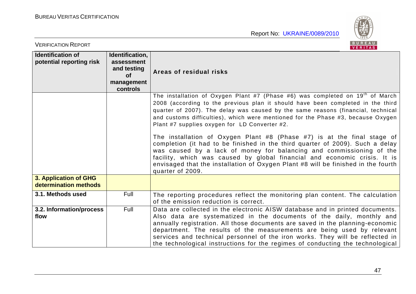

| <b>VERIFICATION REPORT</b>                           |                                                                                     | BUREAU<br>VERITAS                                                                                                                                                                                                                                                                                                                                                                                                                                                                   |
|------------------------------------------------------|-------------------------------------------------------------------------------------|-------------------------------------------------------------------------------------------------------------------------------------------------------------------------------------------------------------------------------------------------------------------------------------------------------------------------------------------------------------------------------------------------------------------------------------------------------------------------------------|
| <b>Identification of</b><br>potential reporting risk | Identification,<br>assessment<br>and testing<br><b>of</b><br>management<br>controls | Areas of residual risks                                                                                                                                                                                                                                                                                                                                                                                                                                                             |
|                                                      |                                                                                     | The installation of Oxygen Plant #7 (Phase #6) was completed on $19th$ of March<br>2008 (according to the previous plan it should have been completed in the third<br>quarter of 2007). The delay was caused by the same reasons (financial, technical<br>and customs difficulties), which were mentioned for the Phase #3, because Oxygen<br>Plant #7 supplies oxygen for LD Converter #2.                                                                                         |
|                                                      |                                                                                     | The installation of Oxygen Plant #8 (Phase #7) is at the final stage of<br>completion (it had to be finished in the third quarter of 2009). Such a delay<br>was caused by a lack of money for balancing and commissioning of the<br>facility, which was caused by global financial and economic crisis. It is<br>envisaged that the installation of Oxygen Plant #8 will be finished in the fourth<br>quarter of 2009.                                                              |
| 3. Application of GHG<br>determination methods       |                                                                                     |                                                                                                                                                                                                                                                                                                                                                                                                                                                                                     |
| 3.1. Methods used                                    | Full                                                                                | The reporting procedures reflect the monitoring plan content. The calculation<br>of the emission reduction is correct.                                                                                                                                                                                                                                                                                                                                                              |
| 3.2. Information/process<br>flow                     | Full                                                                                | Data are collected in the electronic AISW database and in printed documents.<br>Also data are systematized in the documents of the daily, monthly and<br>annually registration. All those documents are saved in the planning-economic<br>department. The results of the measurements are being used by relevant<br>services and technical personnel of the iron works. They will be reflected in<br>the technological instructions for the regimes of conducting the technological |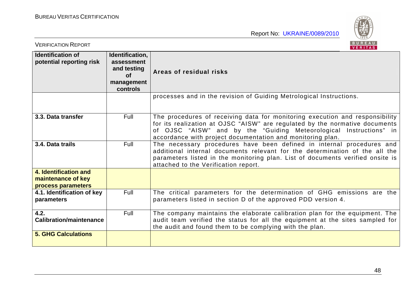

| <b>VERIFICATION REPORT</b>                                        |                                                                              | BUREAU<br>VERITAS                                                                                                                                                                                                                                                                               |  |
|-------------------------------------------------------------------|------------------------------------------------------------------------------|-------------------------------------------------------------------------------------------------------------------------------------------------------------------------------------------------------------------------------------------------------------------------------------------------|--|
| <b>Identification of</b><br>potential reporting risk              | Identification,<br>assessment<br>and testing<br>of<br>management<br>controls | Areas of residual risks                                                                                                                                                                                                                                                                         |  |
|                                                                   |                                                                              | processes and in the revision of Guiding Metrological Instructions.                                                                                                                                                                                                                             |  |
| 3.3. Data transfer                                                | Full                                                                         | The procedures of receiving data for monitoring execution and responsibility<br>for its realization at OJSC "AISW" are regulated by the normative documents<br>of OJSC "AISW" and by the "Guiding Meteorological Instructions" in<br>accordance with project documentation and monitoring plan. |  |
| 3.4. Data trails                                                  | Full                                                                         | The necessary procedures have been defined in internal procedures and<br>additional internal documents relevant for the determination of the all the<br>parameters listed in the monitoring plan. List of documents verified onsite is<br>attached to the Verification report.                  |  |
| 4. Identification and<br>maintenance of key<br>process parameters |                                                                              |                                                                                                                                                                                                                                                                                                 |  |
| 4.1. Identification of key<br>parameters                          | Full                                                                         | The critical parameters for the determination of GHG emissions are the<br>parameters listed in section D of the approved PDD version 4.                                                                                                                                                         |  |
| 4.2.<br><b>Calibration/maintenance</b>                            | Full                                                                         | The company maintains the elaborate calibration plan for the equipment. The<br>audit team verified the status for all the equipment at the sites sampled for<br>the audit and found them to be complying with the plan.                                                                         |  |
| <b>5. GHG Calculations</b>                                        |                                                                              |                                                                                                                                                                                                                                                                                                 |  |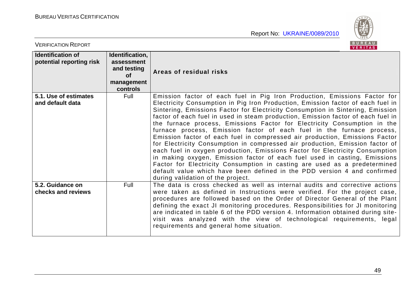

| <b>VERIFICATION REPORT</b>                           |                                                                                     | BUREAU<br>VERITAS                                                                                                                                                                                                                                                                                                                                                                                                                                                                                                                                                                                                                                                                                                                                                                                                                                                                                                                                                                                                 |
|------------------------------------------------------|-------------------------------------------------------------------------------------|-------------------------------------------------------------------------------------------------------------------------------------------------------------------------------------------------------------------------------------------------------------------------------------------------------------------------------------------------------------------------------------------------------------------------------------------------------------------------------------------------------------------------------------------------------------------------------------------------------------------------------------------------------------------------------------------------------------------------------------------------------------------------------------------------------------------------------------------------------------------------------------------------------------------------------------------------------------------------------------------------------------------|
| <b>Identification of</b><br>potential reporting risk | Identification,<br>assessment<br>and testing<br><b>of</b><br>management<br>controls | Areas of residual risks                                                                                                                                                                                                                                                                                                                                                                                                                                                                                                                                                                                                                                                                                                                                                                                                                                                                                                                                                                                           |
| 5.1. Use of estimates<br>and default data            | Full                                                                                | Emission factor of each fuel in Pig Iron Production, Emissions Factor for<br>Electricity Consumption in Pig Iron Production, Emission factor of each fuel in<br>Sintering, Emissions Factor for Electricity Consumption in Sintering, Emission<br>factor of each fuel in used in steam production, Emission factor of each fuel in<br>the furnace process, Emissions Factor for Electricity Consumption in the<br>furnace process, Emission factor of each fuel in the furnace process,<br>Emission factor of each fuel in compressed air production, Emissions Factor<br>for Electricity Consumption in compressed air production, Emission factor of<br>each fuel in oxygen production, Emissions Factor for Electricity Consumption<br>in making oxygen, Emission factor of each fuel used in casting, Emissions<br>Factor for Electricity Consumption in casting are used as a predetermined<br>default value which have been defined in the PDD version 4 and confirmed<br>during validation of the project. |
| 5.2. Guidance on<br>checks and reviews               | Full                                                                                | The data is cross checked as well as internal audits and corrective actions<br>were taken as defined in Instructions were verified. For the project case,<br>procedures are followed based on the Order of Director General of the Plant<br>defining the exact JI monitoring procedures. Responsibilities for JI monitoring<br>are indicated in table 6 of the PDD version 4. Information obtained during site-<br>visit was analyzed with the view of technological requirements, legal<br>requirements and general home situation.                                                                                                                                                                                                                                                                                                                                                                                                                                                                              |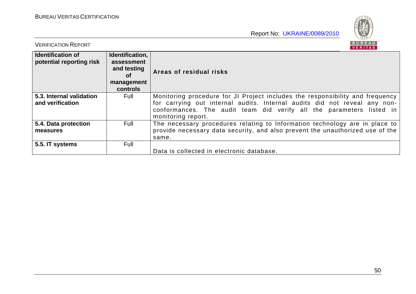

| <b>VERIFICATION REPORT</b>                           |                                                                                     | BUREAU<br><b>VERITAS</b>                                                                                                                                                                                                                                 |
|------------------------------------------------------|-------------------------------------------------------------------------------------|----------------------------------------------------------------------------------------------------------------------------------------------------------------------------------------------------------------------------------------------------------|
| <b>Identification of</b><br>potential reporting risk | Identification,<br>assessment<br>and testing<br><b>of</b><br>management<br>controls | Areas of residual risks                                                                                                                                                                                                                                  |
| 5.3. Internal validation<br>and verification         | Full                                                                                | Monitoring procedure for JI Project includes the responsibility and frequency<br>for carrying out internal audits. Internal audits did not reveal any non-<br>conformances. The audit team did verify all the parameters listed in<br>monitoring report. |
| 5.4. Data protection<br>measures                     | Full                                                                                | The necessary procedures relating to Information technology are in place to<br>provide necessary data security, and also prevent the unauthorized use of the<br>same.                                                                                    |
| 5.5. IT systems                                      | Full                                                                                | Data is collected in electronic database.                                                                                                                                                                                                                |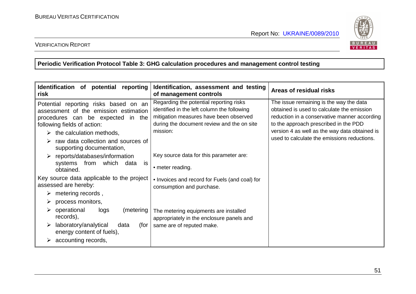

#### VERIFICATION REPORT

**Periodic Verification Protocol Table 3: GHG calculation procedures and management control testing** 

| Identification of potential<br>reporting<br>risk                                                                                                                                                                                                                                                                                                          | Identification, assessment and testing<br>of management controls                                                                                                                                                                      | Areas of residual risks                                                                                                                                                                                                                                                        |
|-----------------------------------------------------------------------------------------------------------------------------------------------------------------------------------------------------------------------------------------------------------------------------------------------------------------------------------------------------------|---------------------------------------------------------------------------------------------------------------------------------------------------------------------------------------------------------------------------------------|--------------------------------------------------------------------------------------------------------------------------------------------------------------------------------------------------------------------------------------------------------------------------------|
| Potential reporting risks based on an<br>assessment of the emission estimation<br>procedures can be expected in the<br>following fields of action:<br>the calculation methods,<br>➤<br>raw data collection and sources of<br>supporting documentation,<br>$\triangleright$ reports/databases/information<br>from<br>which<br>systems<br>data<br><b>is</b> | Regarding the potential reporting risks<br>identified in the left column the following<br>mitigation measures have been observed<br>during the document review and the on site<br>mission:<br>Key source data for this parameter are: | The issue remaining is the way the data<br>obtained is used to calculate the emission<br>reduction in a conservative manner according<br>to the approach prescribed in the PDD<br>version 4 as well as the way data obtained is<br>used to calculate the emissions reductions. |
| obtained.                                                                                                                                                                                                                                                                                                                                                 | • meter reading.                                                                                                                                                                                                                      |                                                                                                                                                                                                                                                                                |
| Key source data applicable to the project<br>assessed are hereby:                                                                                                                                                                                                                                                                                         | • Invoices and record for Fuels (and coal) for<br>consumption and purchase.                                                                                                                                                           |                                                                                                                                                                                                                                                                                |
| metering records,<br>➤<br>process monitors,<br>➤                                                                                                                                                                                                                                                                                                          |                                                                                                                                                                                                                                       |                                                                                                                                                                                                                                                                                |
| operational<br>(metering<br>logs<br>records),<br>laboratory/analytical<br>➤<br>data<br>(for                                                                                                                                                                                                                                                               | The metering equipments are installed<br>appropriately in the enclosure panels and<br>same are of reputed make.                                                                                                                       |                                                                                                                                                                                                                                                                                |
| energy content of fuels),<br>accounting records,                                                                                                                                                                                                                                                                                                          |                                                                                                                                                                                                                                       |                                                                                                                                                                                                                                                                                |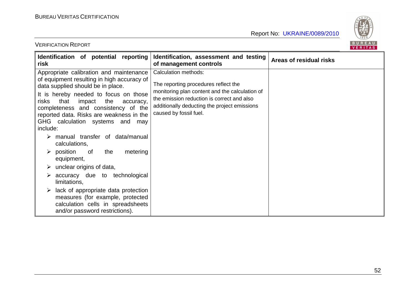

| Identification of potential reporting<br>risk                                                                                                                                                                                                                                                                                                                                                                                                                                                                                                                                                                                                                                                                      | Identification, assessment and testing<br>of management controls                                                                                                                                                                       | <b>Areas of residual risks</b> |
|--------------------------------------------------------------------------------------------------------------------------------------------------------------------------------------------------------------------------------------------------------------------------------------------------------------------------------------------------------------------------------------------------------------------------------------------------------------------------------------------------------------------------------------------------------------------------------------------------------------------------------------------------------------------------------------------------------------------|----------------------------------------------------------------------------------------------------------------------------------------------------------------------------------------------------------------------------------------|--------------------------------|
| Appropriate calibration and maintenance<br>of equipment resulting in high accuracy of<br>data supplied should be in place.<br>It is hereby needed to focus on those<br>that<br>impact<br>the<br>risks<br>accuracy,<br>completeness and consistency of the<br>reported data. Risks are weakness in the<br>GHG calculation systems and<br>may<br>include:<br>manual transfer of data/manual<br>calculations,<br>$\triangleright$ position<br>the<br>metering<br>of<br>equipment,<br>unclear origins of data,<br>➤<br>accuracy due to technological<br>limitations,<br>lack of appropriate data protection<br>measures (for example, protected<br>calculation cells in spreadsheets<br>and/or password restrictions). | Calculation methods:<br>The reporting procedures reflect the<br>monitoring plan content and the calculation of<br>the emission reduction is correct and also<br>additionally deducting the project emissions<br>caused by fossil fuel. |                                |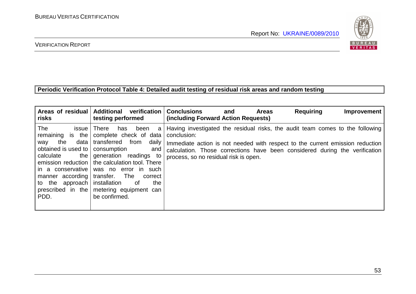

#### VERIFICATION REPORT

# **Periodic Verification Protocol Table 4: Detailed audit testing of residual risk areas and random testing**

| Areas of residual<br>risks                                                                                                                                                                     | <b>Additional</b><br>verification<br>testing performed                                                                                                                                                                                                                                                                        | <b>Requiring</b><br><b>Conclusions</b><br>and<br><b>Areas</b><br>Improvement<br>(including Forward Action Requests)                                                                                                                                                                                   |
|------------------------------------------------------------------------------------------------------------------------------------------------------------------------------------------------|-------------------------------------------------------------------------------------------------------------------------------------------------------------------------------------------------------------------------------------------------------------------------------------------------------------------------------|-------------------------------------------------------------------------------------------------------------------------------------------------------------------------------------------------------------------------------------------------------------------------------------------------------|
| The<br>issue<br>remaining is the<br>data l<br>the<br>way<br>obtained is used to<br>calculate<br>the I<br>in a conservative<br>manner according<br>to the approach<br>prescribed in the<br>PDD. | <b>There</b><br>has<br>been<br>a<br>complete check of data<br>transferred<br>from<br>daily<br>consumption<br>and<br>generation readings to<br>emission reduction   the calculation tool. There<br>was no error in such<br>transfer.<br>The<br>correct<br>installation<br>the<br>of<br>metering equipment can<br>be confirmed. | Having investigated the residual risks, the audit team comes to the following<br>conclusion:<br>Immediate action is not needed with respect to the current emission reduction<br>calculation. Those corrections have been considered during the verification<br>process, so no residual risk is open. |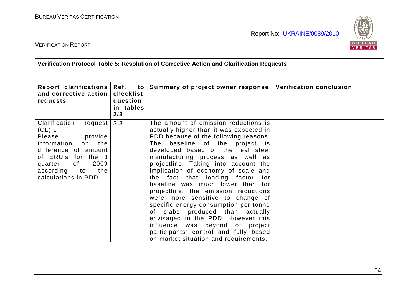

VERIFICATION REPORT

**Verification Protocol Table 5: Resolution of Corrective Action and Clarification Requests** 

| and corrective action<br>requests                                                                                                                                                                         | checklist<br>question<br>in tables<br>2/3 | Report clarifications   Ref. to   Summary of project owner response                                                                                                                                                                                                                                                                                                                                                                                                                                                                                                                                                                                                                                                   | <b>Verification conclusion</b> |
|-----------------------------------------------------------------------------------------------------------------------------------------------------------------------------------------------------------|-------------------------------------------|-----------------------------------------------------------------------------------------------------------------------------------------------------------------------------------------------------------------------------------------------------------------------------------------------------------------------------------------------------------------------------------------------------------------------------------------------------------------------------------------------------------------------------------------------------------------------------------------------------------------------------------------------------------------------------------------------------------------------|--------------------------------|
| Clarification<br>Request<br>(CL) 1<br>Please<br>provide<br>information<br>on the<br>difference of amount<br>of ERU's for the 3<br>2009<br>of<br>quarter<br>according<br>the<br>to<br>calculations in PDD. | 3.3.                                      | The amount of emission reductions is<br>actually higher than it was expected in<br>PDD because of the following reasons.<br>baseline of the project is<br>The<br>developed based on the real steel<br>manufacturing process as well as<br>projectline. Taking into account the<br>implication of economy of scale and<br>the fact that loading factor<br>for t<br>baseline was much lower than for<br>projectline, the emission reductions<br>were more sensitive to change of<br>specific energy consumption per tonne<br>of slabs produced than actually<br>envisaged in the PDD. However this<br>influence was beyond of project<br>participants' control and fully based<br>on market situation and requirements. |                                |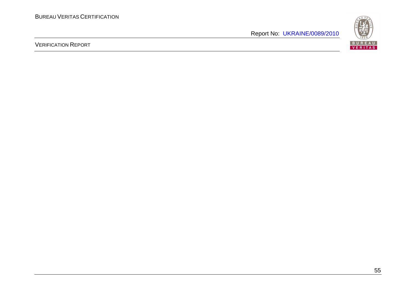

VERIFICATION REPORT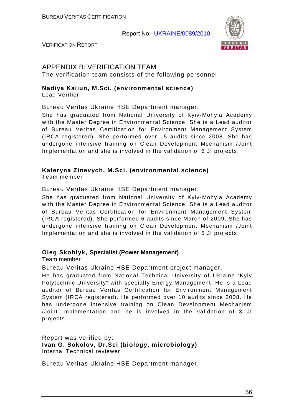

# APPENDIX B: VERIFICATION TEAM

The verification team consists of the following personnel:

# **Nadiya Kaiiun, M.Sci. (environmental science)**

Lead Verifier

Bureau Veritas Ukraine HSE Department manager.

She has graduated from National University of Kyiv-Mohyla Academy with the Master Degree in Environmental Science. She is a Lead auditor of Bureau Veritas Certification for Environment Management System (IRCA registered). She performed over 15 audits since 2008. She has undergone intensive training on Clean Development Mechanism /Joint Implementation and she is involved in the validation of 6 JI projects.

#### **Kateryna Zinevych, M.Sci. (environmental science)**

Team member

Bureau Veritas Ukraine HSE Department manager.

She has graduated from National University of Kyiv-Mohyla Academy with the Master Degree in Environmental Science. She is a Lead auditor of Bureau Veritas Certification for Environment Management System (IRCA registered). She performed 6 audits since March of 2009. She has undergone intensive training on Clean Development Mechanism /Joint Implementation and she is involved in the validation of 5 JI projects.

#### **Oleg Skoblyk, Specialist (Power Management)**

Team member

Bureau Veritas Ukraine HSE Department project manager.

He has graduated from National Technical University of Ukraine 'Kyiv Polytechnic University" with specialty Energy Management. He is a Lead auditor of Bureau Veritas Certification for Environment Management System (IRCA registered). He performed over 10 audits since 2008. He has undergone intensive training on Clean Development Mechanism /Joint Implementation and he is involved in the validation of 3 JI projects.

Report was verified by: **Ivan G. Sokolov, Dr.Sci (biology, microbiology)**  Internal Technical reviewer

Bureau Veritas Ukraine HSE Department manager.

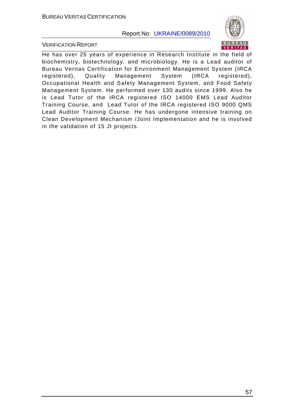

VERIFICATION REPORT

He has over 25 years of experience in Research Institute in the field of biochemistry, biotechnology, and microbiology. He is a Lead auditor of Bureau Veritas Certification for Environment Management System (IRCA registered), Quality Management System (IRCA registered), Occupational Health and Safety Management System, and Food Safety Management System. He performed over 130 audits since 1999. Also he is Lead Tutor of the IRCA registered ISO 14000 EMS Lead Auditor Training Course, and Lead Tutor of the IRCA registered ISO 9000 QMS Lead Auditor Training Course. He has undergone intensive training on Clean Development Mechanism /Joint Implementation and he is involved in the validation of 15 JI projects.